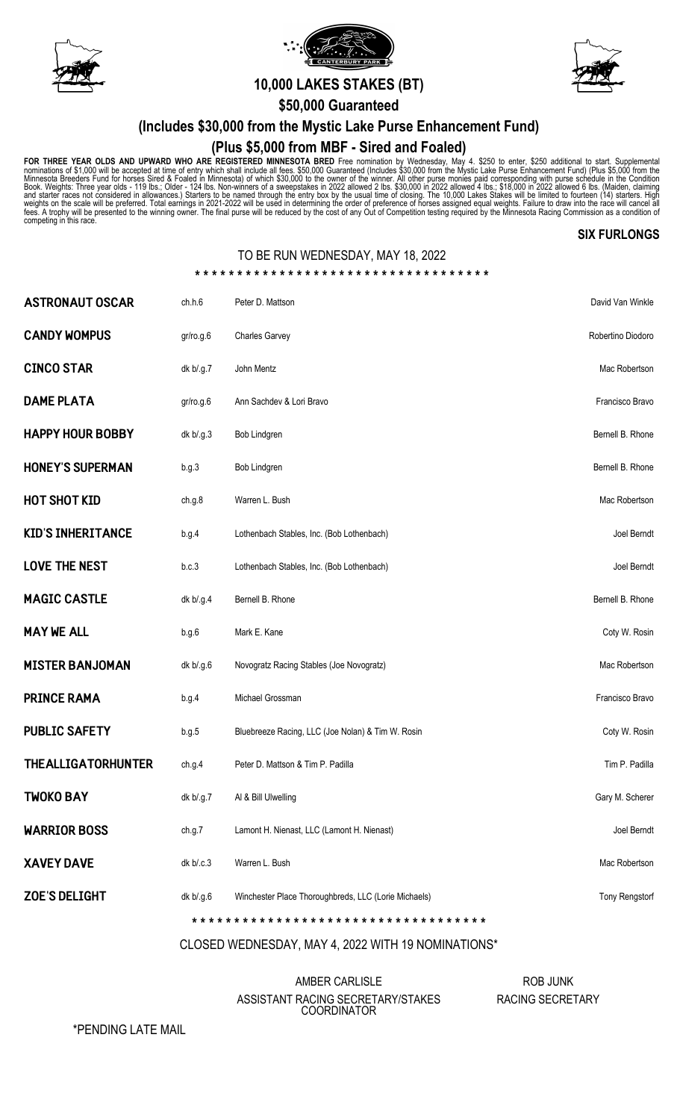





# A **10,000 LAKES STAKES (BT)**

**\$50,000 Guaranteed**

# **(Includes \$30,000 from the Mystic Lake Purse Enhancement Fund)**

## **(Plus \$5,000 from MBF - Sired and Foaled)**

FOR THREE YEAR OLDS AND UPWARD WHO ARE REGISTERED MINNESOTA BRED Free nomination by Wednesday, May 4. \$250 to enter, \$250 additional to start. Supplemental<br>nominations of \$1,000 will be accepted at time of entry which shal

#### **SIX FURLONGS**

## TO BE RUN WEDNESDAY, MAY 18, 2022

| <b>ZOE'S DELIGHT</b>      | dk b/.g.6 | Winchester Place Thoroughbreds, LLC (Lorie Michaels) | <b>Tony Rengstorf</b> |  |  |  |  |  |  |  |
|---------------------------|-----------|------------------------------------------------------|-----------------------|--|--|--|--|--|--|--|
| <b>XAVEY DAVE</b>         | dk b/c.3  | Warren L. Bush                                       | Mac Robertson         |  |  |  |  |  |  |  |
| <b>WARRIOR BOSS</b>       | ch.g.7    | Lamont H. Nienast, LLC (Lamont H. Nienast)           | Joel Berndt           |  |  |  |  |  |  |  |
| <b>TWOKO BAY</b>          | dk b/.g.7 | Al & Bill Ulwelling                                  | Gary M. Scherer       |  |  |  |  |  |  |  |
| <b>THEALLIGATORHUNTER</b> | ch.g.4    | Peter D. Mattson & Tim P. Padilla                    | Tim P. Padilla        |  |  |  |  |  |  |  |
| <b>PUBLIC SAFETY</b>      | b.g.5     | Bluebreeze Racing, LLC (Joe Nolan) & Tim W. Rosin    | Coty W. Rosin         |  |  |  |  |  |  |  |
| <b>PRINCE RAMA</b>        | b.g.4     | Michael Grossman                                     | Francisco Bravo       |  |  |  |  |  |  |  |
| <b>MISTER BANJOMAN</b>    | dk b/.g.6 | Novogratz Racing Stables (Joe Novogratz)             | Mac Robertson         |  |  |  |  |  |  |  |
| <b>MAY WE ALL</b>         | b.g.6     | Mark E. Kane                                         | Coty W. Rosin         |  |  |  |  |  |  |  |
| <b>MAGIC CASTLE</b>       | dk b/.g.4 | Bernell B. Rhone                                     | Bernell B. Rhone      |  |  |  |  |  |  |  |
| <b>LOVE THE NEST</b>      | b.c.3     | Lothenbach Stables, Inc. (Bob Lothenbach)            | Joel Berndt           |  |  |  |  |  |  |  |
| <b>KID'S INHERITANCE</b>  | b.g.4     | Lothenbach Stables, Inc. (Bob Lothenbach)            | Joel Berndt           |  |  |  |  |  |  |  |
| <b>HOT SHOT KID</b>       | ch.g.8    | Warren L. Bush                                       | Mac Robertson         |  |  |  |  |  |  |  |
| <b>HONEY'S SUPERMAN</b>   | b.g.3     | Bob Lindgren                                         | Bernell B. Rhone      |  |  |  |  |  |  |  |
| <b>HAPPY HOUR BOBBY</b>   | dk b/.g.3 | Bob Lindgren                                         | Bernell B. Rhone      |  |  |  |  |  |  |  |
| <b>DAME PLATA</b>         | gr/ro.g.6 | Ann Sachdev & Lori Bravo                             | Francisco Bravo       |  |  |  |  |  |  |  |
| <b>CINCO STAR</b>         | dk b/.g.7 | John Mentz                                           | Mac Robertson         |  |  |  |  |  |  |  |
| <b>CANDY WOMPUS</b>       | gr/ro.g.6 | <b>Charles Garvey</b>                                | Robertino Diodoro     |  |  |  |  |  |  |  |
| <b>ASTRONAUT OSCAR</b>    | ch.h.6    | Peter D. Mattson                                     | David Van Winkle      |  |  |  |  |  |  |  |

CLOSED WEDNESDAY, MAY 4, 2022 WITH 19 NOMINATIONS\*

### AMBER CARLISLE ASSISTANT RACING SECRETARY/STAKES COORDINATOR

ROB JUNK RACING SECRETARY

\*PENDING LATE MAIL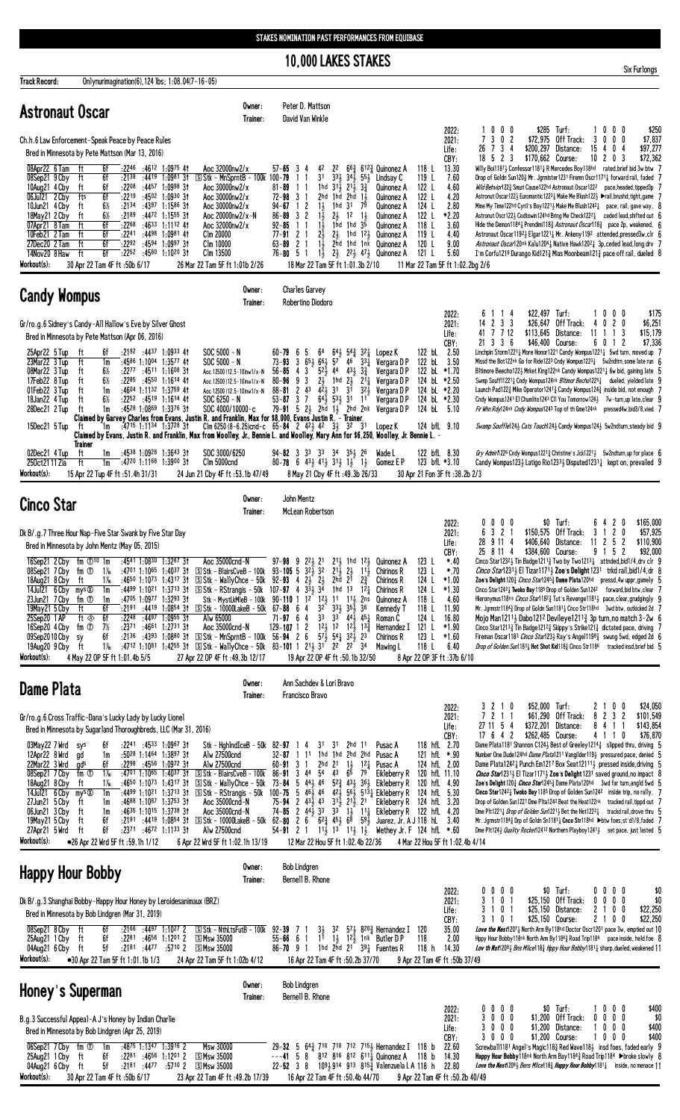**10,000 LAKES STAKES** 

|                                                                                                                                                                                           |                                                                                                                                                                                                                                                                                                                                                                                                                                                                                                                                 |                                                                                                                                     |                                                                                                                                                                                                                                                                                                                                                                                                                                                                                                                         |                                                                                                                                                              | <b>IV, UVU LANES STANES</b>                                                                                                                                                               |                                                                                                                                                                            |                                                                                                                         |                                                                                                                                                                                                                                                                                                                                                                                                                                                                                                                        |                                                                                                                                  |                                                                                                                               |                                                                                                                                                                                                                                                                                                                                                                                                                                                                                                                                                                                                                                                                                                                                                                                                                                                                                                                                                                                                                                                                                                                                                                  | Six Furlongs                                                                                            |
|-------------------------------------------------------------------------------------------------------------------------------------------------------------------------------------------|---------------------------------------------------------------------------------------------------------------------------------------------------------------------------------------------------------------------------------------------------------------------------------------------------------------------------------------------------------------------------------------------------------------------------------------------------------------------------------------------------------------------------------|-------------------------------------------------------------------------------------------------------------------------------------|-------------------------------------------------------------------------------------------------------------------------------------------------------------------------------------------------------------------------------------------------------------------------------------------------------------------------------------------------------------------------------------------------------------------------------------------------------------------------------------------------------------------------|--------------------------------------------------------------------------------------------------------------------------------------------------------------|-------------------------------------------------------------------------------------------------------------------------------------------------------------------------------------------|----------------------------------------------------------------------------------------------------------------------------------------------------------------------------|-------------------------------------------------------------------------------------------------------------------------|------------------------------------------------------------------------------------------------------------------------------------------------------------------------------------------------------------------------------------------------------------------------------------------------------------------------------------------------------------------------------------------------------------------------------------------------------------------------------------------------------------------------|----------------------------------------------------------------------------------------------------------------------------------|-------------------------------------------------------------------------------------------------------------------------------|------------------------------------------------------------------------------------------------------------------------------------------------------------------------------------------------------------------------------------------------------------------------------------------------------------------------------------------------------------------------------------------------------------------------------------------------------------------------------------------------------------------------------------------------------------------------------------------------------------------------------------------------------------------------------------------------------------------------------------------------------------------------------------------------------------------------------------------------------------------------------------------------------------------------------------------------------------------------------------------------------------------------------------------------------------------------------------------------------------------------------------------------------------------|---------------------------------------------------------------------------------------------------------|
| <b>Track Record:</b>                                                                                                                                                                      | Onlynurimagination(6), 124 lbs; 1:08.04(7-16-05)                                                                                                                                                                                                                                                                                                                                                                                                                                                                                |                                                                                                                                     | Owner:                                                                                                                                                                                                                                                                                                                                                                                                                                                                                                                  |                                                                                                                                                              | Peter D. Mattson                                                                                                                                                                          |                                                                                                                                                                            |                                                                                                                         |                                                                                                                                                                                                                                                                                                                                                                                                                                                                                                                        |                                                                                                                                  |                                                                                                                               |                                                                                                                                                                                                                                                                                                                                                                                                                                                                                                                                                                                                                                                                                                                                                                                                                                                                                                                                                                                                                                                                                                                                                                  |                                                                                                         |
| <b>Astronaut Oscar</b>                                                                                                                                                                    | Ch.h.6 Law Enforcement-Speak Peace by Peace Rules<br>Bred in Minnesota by Pete Mattson (Mar 13, 2016)                                                                                                                                                                                                                                                                                                                                                                                                                           |                                                                                                                                     | Trainer:                                                                                                                                                                                                                                                                                                                                                                                                                                                                                                                |                                                                                                                                                              | David Van Winkle                                                                                                                                                                          |                                                                                                                                                                            |                                                                                                                         |                                                                                                                                                                                                                                                                                                                                                                                                                                                                                                                        |                                                                                                                                  | 2022:<br>2021:<br>Life:<br>CBY:                                                                                               | \$285 Turf:<br>1000<br>7302<br>\$72,975 Off Track:<br>3<br>26 7 3 4<br>\$200,297 Distance:<br>15<br>$18$ 5 2 3<br>\$170,662 Course:<br>1020                                                                                                                                                                                                                                                                                                                                                                                                                                                                                                                                                                                                                                                                                                                                                                                                                                                                                                                                                                                                                      | \$250<br>$0\,$ $0\,$ $0\,$<br>$0\ 0\ 0$<br>\$7,837<br>4<br>0 <sub>4</sub><br>\$97,277<br>\$72,362<br>-3 |
| 08Apr22 6 Tam<br>08Sep21 9 Cby<br>10Aug21 4 Cby<br>06Jul21 2 Cby<br>10Jun21 4 Cby<br>18May21 2 Cby<br>07Apr21 8 Tam<br>10Feb21 2 Tam<br>27Dec20 2 Tam<br>14Nov20 8 Haw<br>Workout(s):     | ft<br>$:22^{46}$ $:46^{12}$ 1:0975 41<br>6f<br>ft<br>6f<br>:2138<br>6f<br>:2208<br>ft<br>6f<br>fts<br>:2219<br>$6\%$<br>:2134<br>ft<br>6½<br>:2189<br>ft<br>6f<br>:2268<br>ft<br>6f<br>:2241 :4498<br>ft<br>6f<br>ft<br>:2292 :4594 1:0997 31<br>:2252 :4580 1:1020 31<br>ft<br>6f<br>30 Apr 22 Tam 4F ft: 50b 6/17                                                                                                                                                                                                             | $:4419$ 1:0981 31<br>$:4457$ 1:0998 31<br>:4502 1:0930 31<br>$:4397$ 1:1586 31<br>:4472 1:1555 31<br>$:4633$ 1:1112 41<br>1:0981 41 | Aoc 32000nw2/x<br>$\boxed{5}$ Stk - MnSprntB - 100k<br>Aoc 30000nw2/x<br>Aoc 30000nw2/x<br>Aoc 30000nw2/x<br>Aoc 20000nw2/x-N<br>Aoc 32000nw2/x<br>Clm 20000<br>Clm 10000<br>Clm 13500<br>26 Mar 22 Tam 5F ft 1:01b 2/26                                                                                                                                                                                                                                                                                                | $57 - 65$ 3<br>$100 - 79$<br>$81 - 89$<br>$72 - 98$ 3<br>$94 - 67$<br>-1<br>$86 - 89$ 3 2<br>$92 - 85$<br>$77 - 91$ 2 1<br>- 2<br>$63 - 89$<br>$76 - 80$ 5 1 | 42<br>-4<br>3 <sup>1</sup><br>1hd<br>2hd<br>$1\frac{1}{2}$<br>2<br>$1\frac{1}{2}$<br>$1\frac{1}{2}$<br>-1-1<br>2}<br>$1\frac{1}{2}$<br>$1\frac{1}{2}$<br>18 Mar 22 Tam 5F ft 1:01.3b 2/10 | 22<br>$31\frac{1}{2}$ $21\frac{1}{2}$ $3\frac{3}{4}$<br>1hd<br>1hd 31<br>$2\frac{1}{2}$<br>1 <sup>2</sup><br>$2\frac{1}{2}$                                                | $1\overline{1}$<br>2hd<br>79<br>$1\frac{1}{2}$<br>$1hd$ $1hd$ $35$                                                      | $66\frac{3}{4}$ 612 $\frac{3}{4}$ Quinonez A<br>$3^{3}\frac{1}{2}$ $3^{4}\frac{1}{2}$ $5^{5}\frac{1}{2}$ Lindsay C<br>Quinonez A<br>Quinonez A<br>Quinonez A<br><b>Quinonez A</b><br><b>Quinonez A</b><br>1hd 12 <sub>3</sub> Quinonez A<br>2hd 1hd 1nk Quinonez A<br>$2\frac{1}{2}$ $2\frac{2}{2}$ $4\frac{1}{2}$ Quinonez A                                                                                                                                                                                          | 118 L<br>119 L<br>122 L<br>122 L<br>124 L<br>122 L<br>118 L<br>119 L<br>120 L<br>121 L<br>11 Mar 22 Tam 5F ft 1:02.2bg 2/6       | 13.30<br>7.60<br>4.60<br>4.20<br>2.80<br>*2.20<br>3.60<br>4.40<br>9.00<br>5.60                                                | Willy Boi11871 Confessor11811 R Mercedes Boy118hd rated, brief bid 3w btw 7<br>Drop of Goldn Sun1203 Mr. Jgrmister1231 Firemn Oscr11711 forward rail, faded 7<br>Wild Behvior1223 Smuri Cause122hd Astronaut Oscar1222 pace, headed, tipped3p 7<br>Astronut Oscar122} Euromantic1223} Make Me Blush122} ▶rail, brushd, tight, game 7<br>Mine My Time122hd Cyril's Boy1221} Make Me Blush1242} pace, rail, gave way, 8<br>Astronut Oscr122} Codtowin124hd Bring Me Check1222} ceded lead, shifted out 6<br>Hide the Demon118 <sup>4</sup> <sup>1</sup> Prendimi118 <sup>3</sup> / <sub>4</sub> Astronaut Oscar118 <sup>3</sup> / <sub>4</sub> pace 2p, weakened, 6<br>Astronaut Oscar11923 Elgar12213 Mr. Ankeny1192 attended, pressed3w, clr 6<br>Astronaut Oscar120nk Kalu12041 Native Hawk12021 3p, ceded lead, long drv 7<br>I'm Corfu1216 Durango Kid121 $\frac{3}{2}$ Mias Moonbeam121 $\frac{3}{2}$ pace off rail, dueled 8                                                                                                                                                                                                                                |                                                                                                         |
| <b>Candy Wompus</b>                                                                                                                                                                       |                                                                                                                                                                                                                                                                                                                                                                                                                                                                                                                                 |                                                                                                                                     | Owner:<br>Trainer:                                                                                                                                                                                                                                                                                                                                                                                                                                                                                                      |                                                                                                                                                              | <b>Charles Garvey</b><br>Robertino Diodoro                                                                                                                                                |                                                                                                                                                                            |                                                                                                                         |                                                                                                                                                                                                                                                                                                                                                                                                                                                                                                                        |                                                                                                                                  |                                                                                                                               |                                                                                                                                                                                                                                                                                                                                                                                                                                                                                                                                                                                                                                                                                                                                                                                                                                                                                                                                                                                                                                                                                                                                                                  |                                                                                                         |
| 25Apr22 5 Tup<br>23Mar22 3 Tup<br>08Mar22 3 Tup<br>17Feb22 8 Tup<br>01Feb22 3 Tup                                                                                                         | Gr/ro.g.6 Sidney's Candy-All Hallow's Eve by Silver Ghost<br>Bred in Minnesota by Pete Mattson (Apr 06, 2016)<br>$:2192$ $:4437$ 1:0933 41<br>6f<br>ft<br>:4586 1:1004 1:3577 41<br>ft<br>1m<br>6½<br>$:22^{77}$ $:45^{11}$ 1:1608 31<br>ft<br>6½<br>$:22^{85}$ $:45^{50}$ 1:1614 41<br>ft<br>$:4604$ 1:1132 1:3759 41<br>1m<br>ft                                                                                                                                                                                              |                                                                                                                                     | $SOC 5000 - N$<br>$SOC 5000 - N$<br>Aoc 12500 (12.5-10)nw1/x-N<br>Aoc 12500 (12.5-10)nw1/x-N<br>Aoc 12500 (12.5-10)nw1/x-N                                                                                                                                                                                                                                                                                                                                                                                              | $60 - 79$ 6 5<br>$73 - 93$ 3<br>$56 - 85$ 4 3<br>$80 - 96$<br>9<br>$\overline{c}$<br>$88 - 81$                                                               | 64<br>$65\frac{1}{2}66\frac{1}{2}$<br>3<br>21<br>43                                                                                                                                       | $5^2\frac{1}{2}$ 44 $4^3\frac{1}{2}$ $3^3\frac{1}{4}$<br>$4\bar{2}$ 31 $\bar{3}$ 1                                                                                         | $57^{\circ}$ 46 <sup><math>\circ</math></sup> 33 $\frac{1}{4}$<br>1hd $2\frac{1}{2}$ $21\frac{1}{4}$<br>$32\frac{1}{2}$ | 641 543 321 Lopez K<br>Vergara D P<br>Vergara D P<br>Vergara D P<br>Vergara D P                                                                                                                                                                                                                                                                                                                                                                                                                                        | 122 bL<br>122 bL<br>122 bL *1.70<br>124 bL *2.20                                                                                 | 2022:<br>2021:<br>Life:<br>CBY:<br>2.50<br>3.50<br>124 bl *2.50                                                               | 114<br>\$22,497 Turf:<br>6<br>14 2 3 3<br>\$26,647 Off Track:<br>41 7 7 12<br>\$113,645<br>Distance:<br>11<br>-1.<br>21 3 3 6<br>\$46,400 Course:<br>Linchpin Storm12211 More Honor1221 Candy Wompus12211 5wd turn, moved up 7<br>Missd the Bot122nk Go for Ride1223 Cndy Wompus1223 $\frac{1}{4}$ 5w2ndtrn, some late run 6<br>Bltimore Beecho1223 Mrket King122nk Candy Wompus12211 6w bid, gaining late 5<br>Swmp Souff112211 Cndy Wompus124nk Bltimor Becho12251 dueled, yielded late 9<br>Launch Pad122 $\frac{3}{2}$ Mike Operator1241 $\frac{3}{2}$ Candy Wompus124 $\frac{3}{2}$ inside bid, not enough                                                                                                                                                                                                                                                                                                                                                                                                                                                                                                                                                  | \$175<br>1000<br>4 0 2 0<br>\$6,251<br>\$15,179<br>3<br>-1<br>6012<br>\$7,336                           |
| 18Jan22 4 Tup<br>28Dec21 2 Tup<br>15Dec21 5 Tup                                                                                                                                           | $6\%$<br>$:22^{52}$ $:45^{19}$ 1:1614 41<br>ft<br>:4528 1:0869 1:3376 31<br>ft<br>1m<br>Claimed by Garvey Charles from Evans, Justin R. and Franklin, Max for \$8,000, Evans Justin R. - Trainer<br>$:47^{15}$ 1:1134 1:3728 31<br>1m<br>ft<br>Claimed by Evans, Justin R. and Franklin, Max from Woolley, Jr., Bennie L. and Woolley, Mary Ann for \$6,250, Woolley, Jr. Bennie L. –<br>Trainer                                                                                                                                |                                                                                                                                     | $SOC 6250 - N$<br>SOC 4000/10000-c<br>Clm 6250 (8-6.25)cnd-c $65-84$ 2 $42\frac{1}{2}$ $42$ 3 $\frac{1}{2}$ 32 31                                                                                                                                                                                                                                                                                                                                                                                                       | $53 - 87$ 3 7                                                                                                                                                |                                                                                                                                                                                           | $64\frac{1}{2}$ 53 $\frac{1}{2}$ 31 11                                                                                                                                     |                                                                                                                         | Vergara DP<br>79-91 5 $2\frac{1}{2}$ 2hd $1\frac{1}{2}$ 2hd 2nk Vergara DP<br>Lopez K                                                                                                                                                                                                                                                                                                                                                                                                                                  | 124 bL *2.30<br>124 bL 5.10                                                                                                      | 124 bfL 9.10                                                                                                                  | Cndy Wompus1241 El Chumlito1243 Cll You Tomorrow124} 7w-turn,up late, clear 9<br>Fir Whn Rdy124nk Cndy Wompus1243 Top of th Gme124nk pressed4w, bid3/8, vied 7<br>Swamp Souffle1243 Cats Touch1243 Candy Wompus1243 5w2ndturn, steady bid 9                                                                                                                                                                                                                                                                                                                                                                                                                                                                                                                                                                                                                                                                                                                                                                                                                                                                                                                      |                                                                                                         |
| 02Dec21 4 Tup<br>250ct21 11 Zia<br>Workout(s):                                                                                                                                            | $:45^{38}$ 1:0928 1:3643 31<br>ft<br>1m<br>:4720 1:1168 1:3900 31<br>ft<br>1m<br>15 Apr 22 Tup 4F ft :51.4h 31/31                                                                                                                                                                                                                                                                                                                                                                                                               |                                                                                                                                     | SOC 3000/6250<br>Clm 5000cnd<br>24 Jun 21 Cby 4F ft :53.1b 47/49                                                                                                                                                                                                                                                                                                                                                                                                                                                        | $94 - 82$ 3 3 3 3 3 3 4 3 5 2 2 6                                                                                                                            | 8 May 21 Cby 4F ft: 49.3b 26/33                                                                                                                                                           |                                                                                                                                                                            |                                                                                                                         | Wade L<br>80-78 6 43 41 31 1 1 1 1 60mez EP                                                                                                                                                                                                                                                                                                                                                                                                                                                                            | 30 Apr 21 Fon 3F ft :38.2b 2/3                                                                                                   | 122 bfL 8.30<br>123 bfL *3.10                                                                                                 | Gry Admir 1226 Cndy Wompus 1221 $\frac{3}{4}$ Christine's Jck1221 $\frac{1}{2}$ 5w2ndturn, up for place 6<br>Candy Wompus123 $\frac{1}{2}$ Latigo Rio123 <sup>3</sup> $\frac{1}{2}$ Disputed123 <sup>1</sup> $\frac{1}{4}$ kept on, prevailed 9                                                                                                                                                                                                                                                                                                                                                                                                                                                                                                                                                                                                                                                                                                                                                                                                                                                                                                                  |                                                                                                         |
| <b>Cinco Star</b>                                                                                                                                                                         |                                                                                                                                                                                                                                                                                                                                                                                                                                                                                                                                 |                                                                                                                                     | Owner:<br>Trainer:                                                                                                                                                                                                                                                                                                                                                                                                                                                                                                      | John Mentz                                                                                                                                                   | McLean Robertson                                                                                                                                                                          |                                                                                                                                                                            |                                                                                                                         |                                                                                                                                                                                                                                                                                                                                                                                                                                                                                                                        |                                                                                                                                  |                                                                                                                               |                                                                                                                                                                                                                                                                                                                                                                                                                                                                                                                                                                                                                                                                                                                                                                                                                                                                                                                                                                                                                                                                                                                                                                  |                                                                                                         |
| 08Sep217Cby<br>18Aug21 8 Cby<br>14Jul21 6 Cby mys <sup>®</sup><br>23Jun21 7 Cby<br>19May21 5 Cby<br>25Sep20 1 AP<br>16Sep20 4 Cby<br>09Sep2010 Cby<br>19Aug20 9 Cby<br>Workout(s):        | Dk B/.g.7 Three Hour Nap-Five Star Swank by Five Star Day<br>Bred in Minnesota by John Mentz (May 05, 2015)<br>16Sep21 2 Cby fm 10 10 1m : 4541 1:0830 1:3287 31<br>fm ①<br>1‰<br>1‰<br>ft<br>1m<br>:4705 1:0977 1:3293 31<br>fm ①<br>1m<br>ft<br>6f<br>6f<br>:2248<br>ft $\otimes$<br>$7\%$<br>fm ①<br>$: 2371$ $: 4661$ 1:2731 31<br>6f<br>sy<br>$1\%$<br>ft<br>4 May 22 OP 5F ft 1:01.4b 5/5                                                                                                                                 | $:4701$ 1:10 <sup>65</sup> 1:40 <sup>37</sup> 31<br>:4650 1:1073 1:4317 31<br>$:4497$ 1:0955 31                                     | Aoc 35000cnd-N<br>$\boxed{5}$ Stk - BlairsCveB - 100k 93-105 5 323 32<br>$\boxed{5}$ Stk - WallyChce - 50k<br>:4499 1:1021 1:3713 31 SStk - RStrangis - 50k 107-97 4<br>Stk - MystLkMleB - 100k<br>:2191 :4419 1:0854 31 S Stk - 10000LakeB - 50k 67-88 6 4<br>Alw 65000<br>Aoc 35000cnd-N<br>:2136 :4393 1:0880 31 SStk - MnSprntB - 100k 56-94 2 6 57 $\frac{1}{2}$ 54 $\frac{1}{4}$ 32 $\frac{1}{2}$ 23<br>:4712 1:1081 1:4255 31 SStk - WallyChce - 50k 83-101 1 21 31 22 22 34<br>27 Apr 22 OP 4F ft : 49.3b 12/17 | $92 - 93$<br>4<br>$90 - 110$ 1 $12$<br>$71 - 97$ 6 4<br>$129 - 107$ 1 2                                                                                      | $2\frac{1}{2}$ $2\frac{1}{2}$<br>$3^{\frac{1}{3}}$ $3^{\frac{1}{4}}$<br>32<br>3 <sup>3</sup><br>19 Apr 22 OP 4F ft: 50.1b 32/50                                                           | $2^{11}$ <sub>2</sub> $2^{1}$ <sub>2</sub><br>2hd<br>2 <sup>1</sup><br>1hd 1 <sup>3</sup><br>121, 11<br>331 351 36<br>$12\frac{1}{2}$ $12$ $12\frac{1}{2}$ $13\frac{3}{4}$ | $2\frac{3}{4}$<br>$1^{2}$<br>2ns<br>$11\frac{1}{2}$<br>$3^3$ 44 $\frac{1}{2}$ 45 $\frac{1}{4}$                          | 97-98 9 223 21 213 1hd 123 Quinonez A<br>$11\frac{1}{2}$ Chirinos R<br><b>Chirinos R</b><br>Chirinos R<br><b>Quinonez A</b><br>Kennedy T<br>Roman C<br>Hernandez I<br>Chirinos R<br>Mawing L                                                                                                                                                                                                                                                                                                                           | 123 L<br>123L<br>124 L<br>124 L<br>118 L<br>118L<br>124 L<br>121 L<br>123 L<br>118L<br>8 Apr 22 OP 3F ft: 37b 6/10               | 2022:<br>2021:<br>Life:<br>CBY:<br>*.40<br>*.70<br>$*1.00$<br>$*1.30$<br>4.60<br>11.90<br>16.80<br>$*1.90$<br>$*1.60$<br>6.40 | $$0$ Turf:<br>0000<br>$3 \t1 \t2$<br>3 2 1<br>\$150,575 Off Track:<br>6<br>28 9 11 4<br>\$406,640<br>Distance:<br>11 <sub>2</sub><br>25 8 11 4<br>91<br>\$384,600 Course:<br>Cinco Star1232 Tin Badge1211 $\frac{3}{4}$ Two by Two1213 $\frac{1}{4}$ attnded, bid1/4, drv clr 9<br><i>Cinco Star</i> 12314 El Tizar11714 <b>Zoe</b> 's <b>Delight</b> 1231 trkd rail, bid1/4, dr 8<br>Zoe's Delight 1203 <i>Cinco Star</i> 12453 Dame Plata120hd pressd, 4w uppr, gamely 5<br>Cinco Star1242 $\frac{1}{4}$ Twoko Bay 1185 Drop of Golden Sun1242 forward, bid btw, clear $\frac{1}{2}$<br>Hieronymus118ns <i>Cinco Star</i> 118 <sup>2</sup> Tut's Revenge118 <sup>11</sup> pace, clear, grudgingly 9<br>Mr. Jgrmstr11843 Drop of Goldn Sun11811 Cnco Str118hd 3wd btw, outkicked 2d 7<br>Mojo Man12113 Dabo1212 Devileye12113 3p turn, no match 3-2w 6<br>Cinco Star1213 $\frac{3}{4}$ Tin Badge1212 $\frac{3}{4}$ Skippy's Strike121 $\frac{3}{4}$ dictated pace, driving 7<br>Fireman Oscar1183 <i>Cinco Star</i> 1233 Ray's Ange11198 <sub>4</sub> swung 5wd, edged 2d 6<br>Drop of Golden Sun11831 Hot Shot Kid1181 Cinco Str1186 tracked insd, brief bid 5 | \$165,000<br>6 4 2 0<br>\$57,925<br>0<br>5<br>$\overline{c}$<br>\$110,900<br>5<br>2<br>\$92,000         |
| <b>Dame Plata</b>                                                                                                                                                                         |                                                                                                                                                                                                                                                                                                                                                                                                                                                                                                                                 |                                                                                                                                     | Owner:<br>Trainer:                                                                                                                                                                                                                                                                                                                                                                                                                                                                                                      |                                                                                                                                                              | Ann Sachdev & Lori Bravo<br>Francisco Bravo                                                                                                                                               |                                                                                                                                                                            |                                                                                                                         |                                                                                                                                                                                                                                                                                                                                                                                                                                                                                                                        |                                                                                                                                  |                                                                                                                               |                                                                                                                                                                                                                                                                                                                                                                                                                                                                                                                                                                                                                                                                                                                                                                                                                                                                                                                                                                                                                                                                                                                                                                  |                                                                                                         |
| 03May22 7 Wrd sys<br>12Apr22 8 Wrd<br>22Mar22 3 Wrd<br>08Sep21 7 Cby<br>18Aug21 8 Cby<br>14Jul21 6 Cby<br>27Jun21 5 Cby<br>06Jun21 3 Cby<br>19May21 5 Cby<br>27Apr21 5 Wrd<br>Workout(s): | Gr/ro.g.6 Cross Traffic-Dana's Lucky Lady by Lucky Lionel<br>Bred in Minnesota by Sugarland Thoroughbreds, LLC (Mar 31, 2016)<br>$:22^{41}$ $:45^{33}$ 1:0967 31<br>6f<br>:5028 1:1464 1:3897 31<br>1m<br>ad<br>6f<br>$:2298$ $:4556$ 1:0972 31<br>gds<br>$1\%$<br>fm ①<br>$:4701$ 1:1065 1:4037 31<br>1‰<br>ft<br>mys@<br>1m<br>$:4688$ 1:1087 1:3753 31<br>ft<br>1m<br>:4635 1:1015 1:3738 31<br>1m<br>ft<br>6f<br>$:2191$ $:4419$ $1:0854$ 31<br>ft<br>6f<br>:2371 :4672 1:1133 31<br>ft<br>●26 Apr 22 Wrd 5F ft :59.1h 1/12 | $:4650$ 1:1073 1:4317 31<br>:4499 1:1021 1:3713 31                                                                                  | Stk – Hahlnd $IceB$ – 50k $82-97$<br>Alw 27500cnd<br>Alw 27500cnd<br>S Stk - BlairsCveB - 100k<br>$\boxed{5}$ Stk - WallyChce - 50k<br>$\boxed{5}$ Stk - RStrangis - 50k 100-75 5 46 $\frac{1}{2}$ 46<br>Aoc 35000cnd-N<br>Aoc 35000cnd-N<br>$\boxed{5}$ Stk - 10000LakeB - 50k 62-80 2 6 $\boxed{62\frac{3}{4}}$ 453 68<br>Alw 27500cnd<br>6 Apr 22 Wrd 5F ft 1:02.1h 13/19                                                                                                                                            | 32-87<br>$\overline{1}$<br>60-91<br>3<br>3<br>86-91<br>$73 - 84 = 5$<br>75-94 2 433 43 313 213 21<br>$74 - 85$ 2 $44\overline{3}$ 33<br>54-91 2 1            | 31<br>-14<br>11<br>2hd<br>-1<br>44<br>54<br>441, 46<br>12 Mar 22 Hou 5F ft 1:02.4b 22/36                                                                                                  | 31<br>1hd 1hd 2hd 2hd<br>2 <sup>1</sup><br>65<br>43                                                                                                                        | 2hd $11$<br>$1\frac{1}{2}$<br>79<br>$52\frac{3}{2}$ 431 361<br>591                                                      | Pusac A<br>Pusac A<br>$12$ Pusac A<br>Eikleberry R<br>Eikleberry R<br>42 $\frac{1}{2}$ 5 <sup>6</sup> $\frac{1}{2}$ 5 <sup>13</sup> $\frac{1}{4}$ Eikleberry R<br>Eikleberry R<br>33 13 111 Eikleberry R 122 hfl 4.20<br>Juarez, Jr. A J 118 hL 3.40<br>$11\frac{1}{2}$ 1 <sup>3</sup> 1 <sup>1</sup> / <sub>2</sub> 1 <sup>1</sup> / <sub>2</sub> Wethey Jr. F 124 hfL *.60                                                                                                                                           | 121 hfL *.90<br>124 hfL 2.00<br>120 hfL 11.10<br>120 hfL 4.90<br>124 hfL 5.30<br>124 hfL 3.20<br>4 Mar 22 Hou 5F ft 1:02.4b 4/14 | 2022:<br>2021:<br>Life:<br>CBY:<br>118 hfL 2.70                                                                               | \$52,000 Turf:<br>3 2 1 0<br>7 2 1 1<br>\$61,290 Off Track:<br>8<br>$\overline{c}$<br>\$372,201 Distance:<br>841<br>27 11 5 4<br>17 6 4 2<br>\$262,485 Course:<br>Dame Plata1181 Shannon C124 <sub>2</sub> Best of Greeley1214 <sub>3</sub> slipped thru, driving 5<br>Number One Dude124hd Dame Plata1211 Vangilder1193 pressured pace, denied 5<br>Dame Plata12421 Punch Em1217 Box Seat121111 pressed inside, driving 5<br><i>Cinco Star</i> 1231, El Tizar 1171, Zoe's Delight 1231 saved ground, no impact 8<br>Zoe's Delight 1203 <i>Cinco Star</i> 12453 Dame Plata120hd 3wd far turn, angld 5wd 5<br><b>Cinco Star1242 Twoko Bay 118<sup>5</sup> Drop of Golden Sun1242</b> inside trip, no rally, 7<br>Drop of Golden Sun1221 Dme Pita1242 Beat the Heat122nk tracked rail, tippd out 7<br>Dme P1t1221 <sub>4</sub> Drop of Golden Sun1221 <sub>2</sub> Bet the Het1222 <sub>4</sub> trackd rail, drove thru 5<br>Mr. Jgrmstr11843 Drp of Goldn Sn11811 Cnco Str118hd ▶btw foes, st'd1/8, faded 7<br>Dme Plt1243 <i>Quality Rocket</i> 12412 Northern Playboy12413 set pace, just lasted 5                                                              | 210<br>0<br>\$24,050<br>3<br>$\overline{c}$<br>\$101,549<br>\$143,854<br>-1<br>4 1 1 0<br>\$76,870      |
| <b>Happy Hour Bobby</b>                                                                                                                                                                   |                                                                                                                                                                                                                                                                                                                                                                                                                                                                                                                                 |                                                                                                                                     | Owner:<br>Trainer:                                                                                                                                                                                                                                                                                                                                                                                                                                                                                                      |                                                                                                                                                              | <b>Bob Lindgren</b><br>Bernell B. Rhone                                                                                                                                                   |                                                                                                                                                                            |                                                                                                                         |                                                                                                                                                                                                                                                                                                                                                                                                                                                                                                                        |                                                                                                                                  |                                                                                                                               |                                                                                                                                                                                                                                                                                                                                                                                                                                                                                                                                                                                                                                                                                                                                                                                                                                                                                                                                                                                                                                                                                                                                                                  |                                                                                                         |
| 08Sep21 8 Cby ft<br>25Aug21 1 Cby<br>04Aug21 6 Cby ft<br>Workout(s):                                                                                                                      | Dk B/.g.3 Shanghai Bobby-Happy Hour Honey by Leroidesanimaux (BRZ)<br>Bred in Minnesota by Bob Lindgren (Mar 31, 2019)<br>$:21^{66}$ $:44^{97}$ 1:10 <sup>27</sup> 2<br>6f<br>6f<br>:2281<br>ft<br>5f<br>$:2181$ $:4477$ $:5710$ 2<br>•30 Apr 22 Tam 5F ft 1:01.1b 1/3                                                                                                                                                                                                                                                          | :4656 1:1201 2                                                                                                                      | $\boxed{S}$ Stk - NthLtsFutB - 100k 92-39 7 1<br><b>SMsw 35000</b><br><u>5 Msw 35000</u><br>24 Apr 22 Tam 5F ft 1:02b 4/12                                                                                                                                                                                                                                                                                                                                                                                              | $55 - 66$ 6 1<br>$86 - 70$ 9 1                                                                                                                               | 16 Apr 22 Tam 4F ft :50.2b 37/70                                                                                                                                                          |                                                                                                                                                                            |                                                                                                                         | $3\frac{1}{2}$ 32 $57\frac{1}{2}$ 8 <sup>20</sup> $\frac{3}{4}$ Hernandez I<br>$1^{\overline{1}}$ $1^{\overline{2}}$ $1^{\overline{2}}$ $1^{\overline{1}}$ $1^{\overline{2}}$ $1^{\overline{1}}$ $1^{\overline{2}}$ $1^{\overline{2}}$ $1^{\overline{2}}$ $1^{\overline{2}}$ $1^{\overline{2}}$ $1^{\overline{2}}$ $1^{\overline{2}}$ $1^{\overline{2}}$ $1^{\overline{2}}$ $1^{\overline{2}}$ $1^{\overline{2}}$ $1^{\overline{2}}$ $1^{\overline{2}}$ $1^{\overline{2}}$<br>1hd 2hd $2^1$ $3^9\frac{1}{4}$ Fuentes R | 120<br>118<br>118 <sub>h</sub><br>9 Apr 22 Tam 4F ft: 50b 37/49                                                                  | 2022:<br>2021:<br>Life:<br>CBY:<br>35.00<br>2.00<br>14.30                                                                     | \$0 Turf:<br>0000<br>3 1<br>0 <sub>1</sub><br>\$25,150 Off Track:<br>0<br>3 1 0 1<br>\$25,150 Distance:<br>2<br>21<br>31<br>0 <sub>1</sub><br>\$25,150 Course:<br><b>Love the Nest</b> 1207 <sub>4</sub> North Arm By118hd Doctor Oscr1201 pace 3w, emptied out 10<br>Hppy Hour Bobby118nk North Arm By11843 Road Trip1184 pace inside, held foe 8<br>Lov th Nst120 <sup>81</sup> / <sub>2</sub> Bns Mlice118 <sup>3</sup> / <sub>2</sub> Hppy Hour Bobby1181 <sup>1</sup> / <sub>2</sub> sharp, dueled, weakened 11                                                                                                                                                                                                                                                                                                                                                                                                                                                                                                                                                                                                                                             | 0000<br>\$0<br>$0\ 0\ 0$<br>\$0<br>0<br>\$22,250<br>10<br>0<br>0<br>\$22,250                            |
| Honey's Superman                                                                                                                                                                          |                                                                                                                                                                                                                                                                                                                                                                                                                                                                                                                                 |                                                                                                                                     | Owner:<br>Trainer:                                                                                                                                                                                                                                                                                                                                                                                                                                                                                                      |                                                                                                                                                              | <b>Bob Lindgren</b><br>Bernell B. Rhone                                                                                                                                                   |                                                                                                                                                                            |                                                                                                                         |                                                                                                                                                                                                                                                                                                                                                                                                                                                                                                                        |                                                                                                                                  |                                                                                                                               |                                                                                                                                                                                                                                                                                                                                                                                                                                                                                                                                                                                                                                                                                                                                                                                                                                                                                                                                                                                                                                                                                                                                                                  |                                                                                                         |
| $06$ Sep21 7 Cby fm $\circled{1}$ 1m<br>25Aug21 1 Cby ft                                                                                                                                  | B.g.3 Successful Appeal-A J's Honey by Indian Charlie<br>Bred in Minnesota by Bob Lindgren (Apr 25, 2019)<br>:4875 1:1347 1:3916 2<br>$6f$ :2281 :4656 1:1201 2                                                                                                                                                                                                                                                                                                                                                                 |                                                                                                                                     | Msw 30000<br><b>SMsw 35000</b>                                                                                                                                                                                                                                                                                                                                                                                                                                                                                          |                                                                                                                                                              |                                                                                                                                                                                           |                                                                                                                                                                            |                                                                                                                         | 29-32 5 643 710 710 712 7153 Hernandez I 118 b<br>$---41$ 5 8 812 816 812 611 <sup>1</sup> / <sub>4</sub> Quinonez A 118 b                                                                                                                                                                                                                                                                                                                                                                                             |                                                                                                                                  | 2022:<br>2021:<br>Life:<br>CBY:<br>22.60<br>14.30                                                                             | 0000<br>\$0 Turf:<br>3 0 0 0<br>\$1,200 Off Track:<br>3000<br>\$1,200 Distance:<br>3000<br>\$1,200 Course:<br>Screwball1181 Angel's Magic1183 Red Wave1183 insd foes, faded early 9<br>Happy Hour Bobby118nk North Arm Bay11843 Road Trip1184 >broke slowly 8                                                                                                                                                                                                                                                                                                                                                                                                                                                                                                                                                                                                                                                                                                                                                                                                                                                                                                    | \$400<br>1000<br>$0\ 0\ 0\ 0$<br>\$0<br>$0\ 0\ 0$<br>\$400<br>$0\ 0\ 0$<br>\$400                        |

04Aug21 6 Cby ft 5f :21<sup>81</sup> :44<sup>77</sup> :57<sup>10</sup> 2 IMsw 35000 22-5**2** 3 8 10<sup>9</sup>½ 9<sup>14</sup> 9<sup>13</sup> 8<sup>15</sup>½ Valenzuela L A 118 h 22.80 *Love the Mest*120¤½ *Bens Mlice*118½ *Happy Hour Bobby*118½ inside, no menace 11

**Workout(s):** 30 Apr 22 Tam 4F ft :500 6/17 23 Apr 22 Tam 4F ft :49.2b 17/39 16 Apr 22 Tam 4F ft :50.4b 44/70 9 Apr 22 Tam 4F ft :50.2b 40/49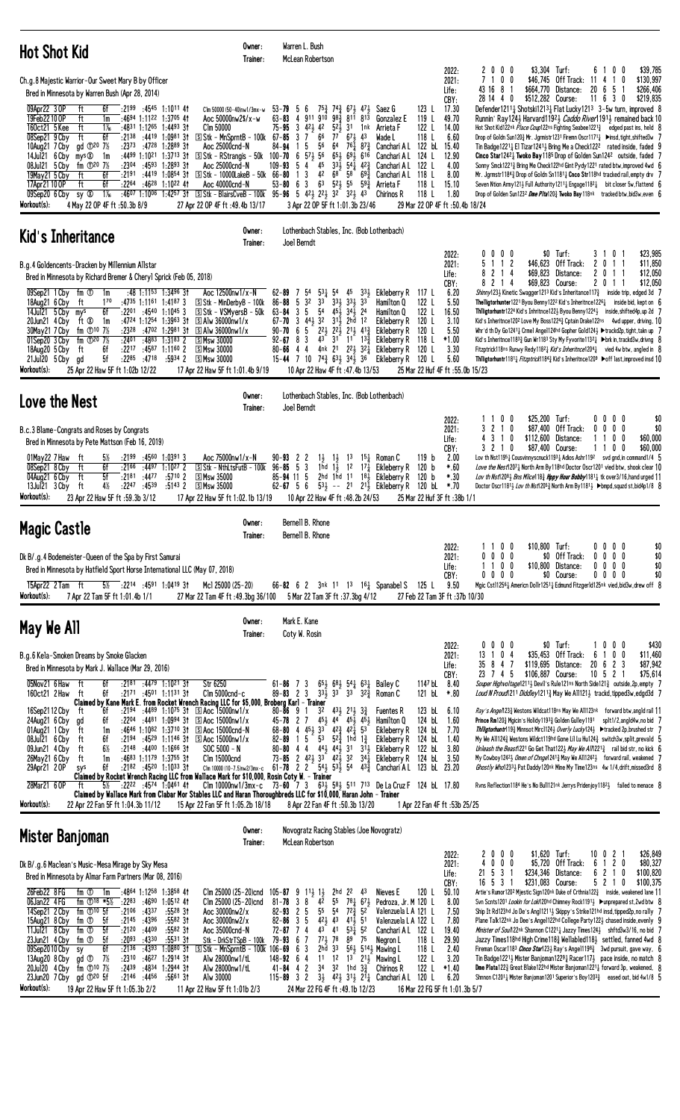| <b>Hot Shot Kid</b>                                                                                                                                                                                                                                                                                                                                                                                                                                                                                                                                                                                                                                                                                                                                                                                                                                | Owner:<br>Trainer:                                                                                                                                                                                                                                                                                   | Warren L. Bush<br>McLean Robertson                                                                                                                                                                                                                                                                                                                                                                                                                                                                                                                                                                                                                  |                                                                                                                                                                                                                                                                                                                                                                          |                                                                                                                                                                                             |                                                                                                                                                                                                                                                                                                                                                                                                                                                                                                                                                                                                                                                                                                                                                                                                                                                                                                                                                                                                                                                                                                                                                       |
|----------------------------------------------------------------------------------------------------------------------------------------------------------------------------------------------------------------------------------------------------------------------------------------------------------------------------------------------------------------------------------------------------------------------------------------------------------------------------------------------------------------------------------------------------------------------------------------------------------------------------------------------------------------------------------------------------------------------------------------------------------------------------------------------------------------------------------------------------|------------------------------------------------------------------------------------------------------------------------------------------------------------------------------------------------------------------------------------------------------------------------------------------------------|-----------------------------------------------------------------------------------------------------------------------------------------------------------------------------------------------------------------------------------------------------------------------------------------------------------------------------------------------------------------------------------------------------------------------------------------------------------------------------------------------------------------------------------------------------------------------------------------------------------------------------------------------------|--------------------------------------------------------------------------------------------------------------------------------------------------------------------------------------------------------------------------------------------------------------------------------------------------------------------------------------------------------------------------|---------------------------------------------------------------------------------------------------------------------------------------------------------------------------------------------|-------------------------------------------------------------------------------------------------------------------------------------------------------------------------------------------------------------------------------------------------------------------------------------------------------------------------------------------------------------------------------------------------------------------------------------------------------------------------------------------------------------------------------------------------------------------------------------------------------------------------------------------------------------------------------------------------------------------------------------------------------------------------------------------------------------------------------------------------------------------------------------------------------------------------------------------------------------------------------------------------------------------------------------------------------------------------------------------------------------------------------------------------------|
| Ch.g.8 Majestic Warrior-Our Sweet Mary B by Officer<br>Bred in Minnesota by Warren Bush (Apr 28, 2014)<br>09Apr22 3 OP<br>6f<br>$:2199$ $:4545$ 1:1011 41<br>ft<br>19Feb22100P<br>ft<br>:4694 1:1122 1:3705 41<br>1m<br>160ct21 5 Kee<br>ft<br>$1\%$<br>:4831 1:1265 1:4493 31<br>6f<br>$:21^{38}$<br>:4419 1:0981 31<br>ft<br>08Sep21 9 Cby<br>10Aug21 7 Cby<br>gd $\bigcirc^{20}$ 7%<br>:2373 :4728 1:2889 31<br>14Jul21 6 Cby mys 20<br>:4499 1:1021 1:3713 31<br>1m<br>fm $\Phi^{20}$ 7%<br>$: 23^{04}$ $: 45^{93}$ 1:2893 31<br>08Jul21 5 Cby<br>$:2191$ $:4419$ $1:0854$ 31<br>19May21 5 Cby<br>6f<br>ft<br>17Apr21 10 OP<br>6f<br>:2264 :4628 1:1022 41<br>ft<br>$1\%$<br>$:4607$ 1:1006 1:4257 31<br>09Sep20 6 Cby<br>sy Ø<br>Workout(s):<br>4 May 22 OP 4F ft :50.3b 8/9                                                                  | Clm 50000 (50-40)nw1/3mx-w<br>Aoc 50000nw2\$/x-w<br>Clm 50000<br>$\boxed{5}$ Stk - MnSprntB - 100k 67-85 3 7<br>Aoc 25000cnd-N<br>$\boxed{5}$ Stk - RStrangis - 50k<br>Aoc 25000cnd-N<br>$\boxed{5}$ Stk - 10000LakeB - 50k 66-80<br>Aoc 40000cnd-N<br>27 Apr 22 OP 4F ft : 49.4b 13/17              | 53-79 5 6 753 743 671 471<br>63-83 4 911 910 983 811 813<br>$75 - 95$ 3 $42\frac{1}{2}$ 42<br>$5^{2}$<br>31 1nk<br>66<br>77<br>$67\frac{1}{2}$ 43<br>56<br>84-94<br>15<br>64<br>$76\frac{1}{4}$ 8 <sup>73</sup> / <sub>4</sub><br>56<br>$100 - 70$ 6 $57\frac{1}{2}$<br>$65\frac{1}{2}$<br>$69\frac{1}{2}$ 616<br>45<br>- 5<br>$33\frac{1}{2}$ 54 $\frac{1}{4}$ 42 $\frac{3}{4}$<br>109-93<br>4<br>42<br>68<br>$58^{69\frac{3}{4}}$<br>3<br>$\overline{1}$<br>$6^3$ $5^2$ , $5^5$ $5^9$ , $3^3$<br>$53 - 80 = 6$<br>$\overline{\mathbf{3}}$<br><b>Solution</b> Stk - BlairsCveB - 100k 95-96 5 42 22 22 32 32 43<br>3 Apr 22 OP 5F ft 1:01.3b 23/46 | 123L<br>Saez G<br>119 L<br><b>Gonzalez</b> E<br>122 L<br>Arrieta F<br>118 L<br>Wade L<br>Canchari A L 122 bL 15.40<br>124 L<br>Canchari A L<br>122 L<br>Canchari A L<br>118 L<br>Canchari A L<br>118 L<br>Arrieta F<br>118 L<br>Chirinos R                                                                                                                               | 2000<br>2022:<br>2021:<br>7100<br>Life:<br>43168<br>-1<br>28 14 4 0<br>CBY:<br>17.30<br>49.70<br>14.00<br>6.60<br>12.90<br>4.00<br>8.00<br>15.10<br>1.80<br>29 Mar 22 OP 4F ft :50.4b 18/24 | $$3,304$ Turf:<br>0<br>\$39,785<br>6<br>- 0<br>\$46,745<br>Off Track: 11<br>$\mathbf{1}$<br>\$130,997<br>0<br>$\frac{1}{2}$<br>20 6<br>-5<br>\$266,406<br>\$664,770<br>Distance:<br>\$512,282 Course:<br>$11 \t6 \t3 \t0$<br>\$219,835<br>Defender12111 Shotski12131 Flat Lucky1213 3-5w turn, improved 8<br>Runnin' Ray 1243 Harvard 11923 Caddo River 11913 remained back 10<br>Hot Shot Kid122nk Place Coup122ns Fighting Seabee1221 <sup>3</sup> edged past ins, held 8<br>Drop of Goldn Sun120½ Mr. Jgrmistr1231 Firemn Oscr11711 > insd, tight, shifted3w 7<br>Tin Badge12214 El Tizar12414 Bring Me a Check122 <sup>2</sup> rated inside, faded 9<br>Cinco Star12421 Twoko Bay 1185 Drop of Golden Sun1242 outside, faded 7<br>Sonny Smck12213 Bring Me Check122hd Gint Pydy1221 rated btw, improved 4wd 6<br>Mr. Jgrmstr1184 $\frac{3}{4}$ Drop of Goldn Sn1181 $\frac{1}{4}$ Cnco Str118hd tracked rail, empty drv<br>Seven Ntion Army1214 Full Authority12114 Engage11824 bit closer 5w, flattend 6<br>Drop of Golden Sun1232 Dme Plta1203 Twoko Bay118nk tracked btw, bid3w, even 6                                                        |
| Kid's Inheritance                                                                                                                                                                                                                                                                                                                                                                                                                                                                                                                                                                                                                                                                                                                                                                                                                                  | Owner:<br>Trainer:                                                                                                                                                                                                                                                                                   | Lothenbach Stables, Inc. (Bob Lothenbach)<br>Joel Berndt                                                                                                                                                                                                                                                                                                                                                                                                                                                                                                                                                                                            |                                                                                                                                                                                                                                                                                                                                                                          |                                                                                                                                                                                             |                                                                                                                                                                                                                                                                                                                                                                                                                                                                                                                                                                                                                                                                                                                                                                                                                                                                                                                                                                                                                                                                                                                                                       |
| B.g.4 Goldencents-Dracken by Millennium Allstar<br>Bred in Minnesota by Richard Bremer & Cheryl Sprick (Feb 05, 2018)<br>:48 1:1153 1:3496 31<br>09Sep21 1 Cby fm ①<br>1m<br>170<br>:4735 1:1161 1:4187 3<br>18Aug21 6 Cby ft<br>14Jul21 5 Cby mys<br>6f<br>$:22^{01}$ $:45^{40}$ 1:10 <sup>45</sup> 3<br>:4724 1:1254 1:3963 31<br>20Jun21 $4$ Cby ft $\infty$<br>1m<br>fm $\Phi^{10}$ 7%<br>:2328<br>:4702 1:2981 31<br>30May21 7 Cby<br>01Sep20 3 Cby fm 120 7%<br>:2401<br>:4883 1:3183 2<br>SMsw 30000<br>6f<br>:2217<br>:4587 1:1160 2<br><b>SMsw 30000</b><br>18Aug20 5 Cby<br>ft<br>5f<br>:2285<br>:4718<br>:5934 2<br><b>SMsw 30000</b><br>21Jul20 5 Cby gd<br>Workout(s):<br>25 Apr 22 Haw 5F ft 1:02b 12/22                                                                                                                             | Aoc 12500nw1/x-N<br>$S$ Stk - MinDerby B - 100k<br>S Stk - VSMyersB - 50k<br>$\boxed{5}$ Alw 36000nw1/x<br>$\boxdot$ Alw 36000nw1/x<br>17 Apr 22 Haw 5F ft 1:01.4b 9/19                                                                                                                              | $53\frac{1}{4}$ 54 45<br>62-89<br>54<br>7<br>3 <sup>2</sup><br>$3^{3}$<br>$5^{4}$<br>331 331 33<br>86-88<br>-5<br>5<br>$45\frac{1}{2}$ $34\frac{1}{2}$ 24<br>$63 - 84$<br>3<br>3 441 32 311 2hd 12<br>67-70<br>$2^2$ , $2^2$ , $2^1$ , $4^1$<br>5<br>$90 - 70 = 6$<br>$43^{(-)}$ 31 <sup>-</sup> 11 <sup>-</sup> 13 <sup>3</sup> / <sub>4</sub><br>$92 - 67$ 8 3<br>80-66 4 4 4nk 21 22 32 Eikleberry R<br>$15-44$ 7 10 $74\frac{3}{4}$ $63\frac{1}{2}$ $34\frac{1}{2}$ 36<br>10 Apr 22 Haw 4F ft :47.4b 13/53                                                                                                                                      | $33\frac{1}{2}$<br>Eikleberry R<br>117 L<br>122 L<br>Hamilton Q<br>122 L<br>Hamilton Q<br>120 L<br>Eikleberry R<br>120 L<br>Eikleberry R<br>118 L<br>Eikleberry R<br>120 L<br>120 L<br>Eikleberry R                                                                                                                                                                      | $0\ 0\ 0\ 0$<br>2022:<br>5.<br>112<br>2021:<br>8 2 1 4<br>Life:<br>CBY:<br>8 2 1 4<br>6.20<br>5.50<br>16.50<br>3.10<br>5.50<br>$*1.00$<br>3.30<br>5.60<br>25 Mar 22 Huf 4F ft :55.0b 15/23  | \$0 Turf:<br>310<br>\$23,985<br>\$46,623 Off Track:<br>\$11,850<br>$\mathbf{2}$<br>0<br>$\mathbf{1}$<br>\$69,823<br>Distance:<br>201<br>\$12,050<br>-1<br>\$69,823 Course:<br>\$12,050<br>201<br>-1<br>Shinny1234 Kinetic Swagger1213 Kid's Inheritance117 $\frac{3}{4}$ inside trip, edged 3d<br><b>Thelligtorhunter</b> 1221 Byou Benny 122 <sup>2</sup> Kid's Inheritnce 122 <sup>6</sup> $\frac{1}{4}$ inside bid, kept on 6<br>Thiligtorhuntr1224 Kid's Inhritnce1223 Byou Benny12243 inside, shifted4p, up 2d 7<br>Kid's Inheritnce1202 Love My Boss1224 <sub>3</sub> Cptain Drake122ns 4wd upper, driving, 10<br>Whr'd th Dy Go12411 Crmel Angel124hd Gopher Gold124} ▶trackd2p, tight, takn up 7<br>Kid's Inheritnce11833 Gun Wr1183 Sty My Fyvorite11321 ▶brk in, trackd3w, drivng 8<br>Fitzptrick118ns Runwy Redy1182 <i>Lkid's Inheritnce</i> 1204 <i>l</i> vied 4w btw, angled in 8<br>Thiligtorhuntr11811 Fitzptrick11843 Kid's Inheritnce1209 ▶off last, improved insd 10                                                                                                                                                               |
| Love the Nest                                                                                                                                                                                                                                                                                                                                                                                                                                                                                                                                                                                                                                                                                                                                                                                                                                      | Owner:<br>Trainer:                                                                                                                                                                                                                                                                                   | Lothenbach Stables, Inc. (Bob Lothenbach)<br>Joel Berndt                                                                                                                                                                                                                                                                                                                                                                                                                                                                                                                                                                                            |                                                                                                                                                                                                                                                                                                                                                                          |                                                                                                                                                                                             |                                                                                                                                                                                                                                                                                                                                                                                                                                                                                                                                                                                                                                                                                                                                                                                                                                                                                                                                                                                                                                                                                                                                                       |
| B.c.3 Blame-Congrats and Roses by Congrats<br>Bred in Minnesota by Pete Mattson (Feb 16, 2019)<br>$:2199$ $:4560$ $1:03913$<br>01May22 7Haw ft<br>$5\%$<br>6f<br>$:21^{66}$ $:44^{97}$ 1:10 <sup>27</sup> 2<br>08Sep21 8 Cby<br>ft<br>04Aug21 6 Cby ft<br>5f<br>:2181<br>:4477<br>$:57^{10}$ 2<br><b>SMsw 35000</b><br>4½<br>:2247 :4539<br>$:5143$ 2<br><b>SMsw 35000</b><br>13Jul21 3 Cby ft<br>Workout(s):<br>23 Apr 22 Haw 5F ft: 59.3b 3/12                                                                                                                                                                                                                                                                                                                                                                                                   | Aoc 75000nw1/x-N<br>$S$ Stk - NthLtsFutB - 100k 96-85 5 3<br>17 Apr 22 Haw 5F ft 1:02.1b 13/19                                                                                                                                                                                                       | $90 - 93$ 2 2<br>$1\frac{1}{2}$ $1\frac{1}{2}$ $1\frac{3}{2}$<br>1hd $1\frac{1}{2}$ 12 17 $\frac{1}{4}$<br>$85 - 94$ 11 5<br>2hd 1hd 11<br>$62 - 67$ 5 6<br>10 Apr 22 Haw 4F ft: 48.2b 24/53                                                                                                                                                                                                                                                                                                                                                                                                                                                        | $15\frac{1}{4}$ Roman C<br>119 <sub>b</sub><br>Eikleberry R<br>120 b<br>$18\frac{1}{2}$ Eikleberry R<br>120 b<br>$53\frac{1}{2}$ -- 21 21 Eikleberry R<br>120 bL *.70<br>25 Mar 22 Huf 3F ft: 38b 1/1                                                                                                                                                                    | 1100<br>2022:<br>3 2 1 0<br>2021:<br>4 3 1 0<br>Life:<br>3 2 1 0<br>CBY:<br>2.00<br>$*.60$<br>$*.30$                                                                                        | \$25,200 Turf:<br>$0\quad 0$<br>$0\quad 0$<br>\$0<br>\$87,400<br>Off Track:<br>$0\quad 0$<br>\$0<br>$0\quad 0$<br>\$112,600 Distance:<br>0<br>0<br>\$60,000<br>\$87,400 Course:<br>10<br>\$60,000<br>0<br>Lov th Nst1195 <sup>1</sup> Cousvinnyscnuck1193 <sup>1</sup> Adios Ashr119 <sup>2</sup> svd gnd, in command1/4<br>Love the Nest12071 North Arm By118hd Doctor Oscr1201 vied btw, shook clear 10<br>Lov th Nst12081 Bns Mice1183 Hppy Hour Bobby11811 tk over 3/16, hand urged 11<br>Doctor Oscr1181} Lov th Nst1205} North Arm By1181} ▶bmpd, squzd st, bid4p1/8 8                                                                                                                                                                                                                                                                                                                                                                                                                                                                                                                                                                          |
| <b>Magic Castle</b>                                                                                                                                                                                                                                                                                                                                                                                                                                                                                                                                                                                                                                                                                                                                                                                                                                | Owner:<br>Trainer:                                                                                                                                                                                                                                                                                   | Bernell B. Rhone<br>Bernell B. Rhone                                                                                                                                                                                                                                                                                                                                                                                                                                                                                                                                                                                                                |                                                                                                                                                                                                                                                                                                                                                                          |                                                                                                                                                                                             |                                                                                                                                                                                                                                                                                                                                                                                                                                                                                                                                                                                                                                                                                                                                                                                                                                                                                                                                                                                                                                                                                                                                                       |
| Dk B/.g.4 Bodemeister-Queen of the Spa by First Samurai<br>Bred in Minnesota by Hatfield Sport Horse International LLC (May 07, 2018)<br>5% :2214 :4591 1:0419 31<br>15Apr22 2 Tam ft<br>Workout(s):<br>7 Apr 22 Tam 5F ft 1:01.4b 1/1                                                                                                                                                                                                                                                                                                                                                                                                                                                                                                                                                                                                             | Mcl 25000 (25-20)<br>27 Mar 22 Tam 4F ft: 49.3bg 36/100                                                                                                                                                                                                                                              | 66-82 6 2 $3nk$ 11 13 16 Spanabel S<br>5 Mar 22 Tam 3F ft :37.3bg 4/12                                                                                                                                                                                                                                                                                                                                                                                                                                                                                                                                                                              | 125 L                                                                                                                                                                                                                                                                                                                                                                    | 1100<br>2022:<br>2021:<br>$0\,0\,0$<br>0 <sub>0</sub><br>Life:<br>11<br>$0\ 0\ 0$<br>CBY:<br>9.50<br>27 Feb 22 Tam 3F ft: 37b 10/30                                                         | \$10,800 Turf:<br>$0\quad 0$<br>\$0<br>00<br>\$0<br>\$0<br>Off Track:<br>0 <sub>0</sub><br>$0\quad 0$<br>\$0<br>\$10,800<br>Distance:<br>$0\quad 0$<br>$0\quad 0$<br>\$0 Course:<br>$0\quad 0$<br>\$0<br>00<br>Mgic Cst112561 Americn Dollr12511 Edmund Fitzger1d125nk vied, bid3w, drew off 8                                                                                                                                                                                                                                                                                                                                                                                                                                                                                                                                                                                                                                                                                                                                                                                                                                                        |
| May We All                                                                                                                                                                                                                                                                                                                                                                                                                                                                                                                                                                                                                                                                                                                                                                                                                                         | Owner:<br>Trainer:                                                                                                                                                                                                                                                                                   | Mark E. Kane<br>Coty W. Rosin                                                                                                                                                                                                                                                                                                                                                                                                                                                                                                                                                                                                                       |                                                                                                                                                                                                                                                                                                                                                                          | $0\,0\,0\,0$<br>2022:                                                                                                                                                                       | $$0$ Turf:<br>\$430<br>$0\quad 0$<br>10                                                                                                                                                                                                                                                                                                                                                                                                                                                                                                                                                                                                                                                                                                                                                                                                                                                                                                                                                                                                                                                                                                               |
| B.g.6 Kela-Smoken Dreams by Smoke Glacken<br>Bred in Minnesota by Mark J. Wallace (Mar 29, 2016)<br>05Nov21 6 Haw<br>6f<br>$:2181$ $:4479$ $1:1021$ 31<br>Str 6250<br>ft<br>160ct21 2 Haw<br>6f<br>$:2171$ $:4501$ $1:1131$ 31<br>ft<br>Claimed by Kane Mark E. from Rocket Wrench Racing LLC for \$5,000, Broberg Karl – Trainer                                                                                                                                                                                                                                                                                                                                                                                                                                                                                                                  | $C$ lm 5000 $c$ nd- $c$                                                                                                                                                                                                                                                                              | $65\frac{1}{2}$ $68\frac{1}{2}$ $54\frac{1}{4}$ $63\frac{1}{4}$ Bailey C<br>$61 - 86$ 7 3<br>$33\overline{1}33$ <sup>-</sup><br>$89 - 83$ 2 3<br>33                                                                                                                                                                                                                                                                                                                                                                                                                                                                                                 | 114 <sup>7</sup> bL<br>121 bL<br>$32\frac{3}{4}$ Roman C                                                                                                                                                                                                                                                                                                                 | 13 1 0 4<br>2021:<br>35<br>847<br>Life:<br>23 7 4 5<br>CBY:<br>8.40<br>$*.80$                                                                                                               | \$35,453 Off Track:<br>$\mathbf 0$<br>0<br>\$11,460<br>6<br>\$119,695<br>Distance:<br>20<br>$\mathbf{2}$<br>\$87,942<br>6<br>-3<br>$10 \t5 \t2 \t1$<br>\$75,614<br>\$106,887 Course:<br>Souper Highvoltage1211 <sup>1</sup> / <sub>2</sub> Devil's Rule121ns North Side121 <sup>3</sup> / <sub>4</sub> outside, 2p, empty 7<br>Loud N Proud 211 Diddley12113 May We All1213 trackd, tipped3w, edgd3d 7                                                                                                                                                                                                                                                                                                                                                                                                                                                                                                                                                                                                                                                                                                                                                |
| 16Sep2112 Cby<br>6f<br>$:2194$ $:4489$ 1:10 <sup>75</sup> 31<br>ft<br>:2204 :4481 1:0994 31<br>24Aug21 6 Cby<br>6f<br>gd<br>ft<br>$:4646$ 1:1082 1:3710 31<br>01Aug21 1 Cby<br>1m<br>08Jul21 6 Cby<br>ft<br>6f<br>$:2194$ $:4529$ 1:1146 31<br>$6\%$<br>ft<br>:2148<br>:4400 1:1666 3†<br>09Jun21 4 Cby<br>ft<br>$:4683$ 1:1179 1:3755 31<br>26May21 6 Cby<br>1m<br>:2182 :4520 1:1033 31<br>29Apr21 2 OP<br>6f<br>sys<br>Claimed by Rocket Wrench Racing LLC from Wallace Mark for \$10,000, Rosin Coty W. - Trainer<br>$:22^{22}$ :4574 1:0461 41<br>28Mar21 6 OP<br>ft<br>$5\%$<br>Claimed by Wallace Mark from Clabar Mor Stables LLC and Haran Thoroughbreds LLC for \$10,000, Haran John - Trainer<br>Workout(s):<br>22 Apr 22 Fan 5F ft 1:04.3b 11/12                                                                                       | $\boxed{5}$ Aoc 15000nw1/x<br>$\boxed{S}$ Aoc 15000nw1/x<br><b>S Aoc 15000cnd-N</b><br>$\boxed{5}$ Aoc 15000nw1/x<br>$SOC 5000 - N$<br>Clm 15000cnd<br>15 Apr 22 Fan 5F ft 1:05.2b 18/18                                                                                                             | $80 - 86$ 9 1<br>32<br>$43\frac{1}{2}$ 21 $\frac{1}{2}$<br>$45\frac{1}{2}$ $44^{\circ}$ $45\frac{1}{2}$ $45\frac{1}{2}$<br>$45 - 78$ 2 7<br>$68 - 80$ 4 $45\frac{1}{2}$ 3 <sup>3</sup><br>$42\frac{3}{4}$ $42\frac{1}{4}$ 53<br>1 5<br>53<br>$5^{2^{3}_{7}}$ 1hd<br>82-89<br>44<br>80-80<br>73-85 2 423 33 423 32 34 $\frac{1}{4}$ Eikleberry R<br>Clm 10000 (10-7.5)nw2/3mx-c $61-78$ 2 2 $54\frac{1}{2}$ $53\frac{1}{2}$ 54 $43\frac{3}{4}$ Canchari AL 123 bL 23.20<br>Clm 10000nw1/3mx-c 73-60 7 3 63 58 511 713 De La Cruz F 124 bl 17.80<br>8 Apr 22 Fan 4F ft :50.3b 13/20                                                                   | 123 bL<br>$3\frac{3}{4}$<br><b>Fuentes R</b><br>124 bL<br>Hamilton Q<br>Eikleberry R<br>124 bL<br>$1\frac{3}{4}$<br>Eikleberry R<br>124 bL<br>$44\frac{1}{2}$ $44\frac{1}{2}$ 31 $31\frac{1}{2}$ Eikleberry R<br>122 bL<br>124 bL<br>1 Apr 22 Fan 4F ft :53b 25/25                                                                                                       | 6.10<br>1.60<br>7.70<br>1.40<br>3.80<br>3.50                                                                                                                                                | Ray's Ange/1233 Westons Wildcat118ns May We All123nk forward btw, angld rail 11<br>Prince Rm1203 Mgicin's Holidy 11933 Golden Gulley 1191<br>splt1/2,angld4w,no bid<br>Thiligtorhuntr119} Minnsot Mirc1124} Overly Lucky124} ▶ tracked 2p, brushed str 7<br>My We All1243 Westons Wildct119hd Gone Lil Lu Hu1243 switch3w, split, prevald 5<br>Unleash the Beast 221 Go Get That 1223 May We All $22^{12}$ rail bid str, no kick 6<br>My Cowboy 1242 $\frac{1}{2}$ Omen of Chnge1241 $\frac{3}{4}$ May We All1242 $\frac{1}{2}$ forward rail, weakened 7<br>Ghostly Who12331 Pat Daddy120nk Mine My Time123ns 4w 1/4, drift, missed3rd 8<br>Rvns Reflection1184 He's No Bull121nk Jerrys Pridenjoy11821 failed to menace 8                                                                                                                                                                                                                                                                                                                                                                                                                            |
| Mister Banjoman                                                                                                                                                                                                                                                                                                                                                                                                                                                                                                                                                                                                                                                                                                                                                                                                                                    | Owner:<br>Trainer:                                                                                                                                                                                                                                                                                   | Novogratz Racing Stables (Joe Novogratz)<br>McLean Robertson                                                                                                                                                                                                                                                                                                                                                                                                                                                                                                                                                                                        |                                                                                                                                                                                                                                                                                                                                                                          |                                                                                                                                                                                             |                                                                                                                                                                                                                                                                                                                                                                                                                                                                                                                                                                                                                                                                                                                                                                                                                                                                                                                                                                                                                                                                                                                                                       |
| Dk B/.g.6 Maclean's Music-Mesa Mirage by Sky Mesa<br>Bred in Minnesota by Almar Farm Partners (Mar 08, 2016)<br>26Feb22 8FG<br>:4864 1:1258 1:3858 41<br>fm ①<br>1m<br>06Jan22 4 FG<br>fm $\Phi$ <sup>18 *5</sup> %<br>:2283<br>:4690<br>$1:0512$ 4t<br>14Sep21 2 Cby<br>fm $\mathbb{O}^{10}$ 5f<br>$:21^{06}$ :4337<br>$:55^{28}31$<br>:2145<br>:4396<br>:5582 31<br>fm ① 5f<br>15Aug21 8 Cby<br>fm $0$<br>5f<br>:2120<br>:4409<br>:5582 31<br>11Jul21 8 Cby<br>:2093<br>fm ①<br>5f<br>:4330<br>:553131<br>23Jun21 4 Cby<br>6f<br>:2136<br>:4393<br>$1:0880$ 31<br>09Sep2010Cby<br>sy<br>:2310<br>:4627<br>$1:2914$ 3t<br>- 7½<br>13Aug20 8 Cby<br>gd ①<br>:4834<br>20Jul20 4 Cby $\bar{f}$ m $\bar{D}^{10}$ 7%<br>:2439<br>1:2944 31<br>23Jun20 7 Cby gd 120 5f<br>$:2146$ $:4456$<br>:5661 31<br>Workout(s):<br>19 Apr 22 Haw 5F ft 1:05.3b 2/2 | Clm 25000 (25-20)cnd $105-87$ 9 $11\frac{1}{2}$ 1<br>Clm 25000 (25-20)cnd 81-78 3 8 42<br>Aoc 30000nw2/x<br>Aoc $30000$ nw $2/x$<br>Aoc 35000cnd-N<br>Stk - DrkStrTSpB - 100k<br>SStk - MnSprntB - 100k 106-69 6<br>Alw 28000nw1/tL<br>Alw 28000nw1/tL<br>Alw 30000<br>11 Apr 22 Haw 5F ft 1:01b 2/3 | 2hd $2^2$ 43<br>55<br>$78\frac{1}{4}$ 67 $\frac{1}{2}$<br>5 <sup>5</sup><br>$72\frac{3}{4}$<br>82-93<br>25<br>54<br>$42\frac{1}{2}$ 43<br>$82 - 86$ 3 5<br>$41\frac{1}{2}$ 51<br>4 <sup>3</sup><br>41<br>$53\overline{1}$ 52<br>72-87<br>74<br>$77\frac{1}{2}$ 78<br>$79 - 93$ 6 7<br>89<br>$2h\bar{d}$ $33$<br>3<br>11<br>12<br>$148 - 92$ 6 4<br>3 <sup>4</sup><br>$41 - 84$ 4 2<br>32<br>1hd $3\frac{3}{4}$<br>$115 - 89$ 3 2<br>24 Mar 22 FG 4F ft :49.1b 12/23                                                                                                                                                                                 | 120 L<br>Nieves E<br>Pedroza, Jr. M 120 L<br>52<br>Valenzuela L A 121 L<br>Valenzuela L A 122 L<br>122 L<br>Canchari A L<br>75<br>118 L<br>Negron L<br>561 5141 Mawing L<br>118 L<br>122 L<br>$13$ 2 <sup>1</sup> $1$ Mawing L<br>122 L<br>Chirinos R<br>$3\frac{1}{2}$ $4\frac{2}{2}$ $3\frac{1}{2}$ $2\frac{1}{4}$ Canchari AL 120 L<br>16 Mar 22 FG 5F ft 1:01.3b 5/7 | 2000<br>2022:<br>$0\ 0\ 0$<br>2021:<br>4<br>21 5<br>3<br>Life:<br>-1<br>16 5 3<br>CBY:<br>50.10<br>8.00<br>7.50<br>7.80<br>19.40<br>29.90<br>2.40<br>3.20<br>$*1.40$<br>6.20                | \$1,620 Turf:<br>\$26,849<br>10 0<br>$\overline{c}$<br>\$5,720<br>Off Track:<br>$\overline{c}$<br>\$80,327<br>6<br>0<br>$\mathbf{1}$<br>\$234,346 Distance:<br>2 1<br>\$100,820<br>6<br>0<br>\$231,083 Course:<br>521<br>0<br>\$100,375<br>Artie's Rumor1202 Mjestic Sign120nk Duke of Crthnia122 $\frac{3}{4}$ inside, weakened lane 11<br>Svn Scnts1201 Lookin for Lok120hd Chimney Rock1191} ▶unprepared st, 2wd btw {<br>Ship It Rd123hd Jo De's Ang112113 Skippy's Strike121hd insd, tipped2p, no rally 7<br>Plane Talk122nk Jo Dee's Angel122hd College Party1221 chased inside, evenly 9<br>Minister of Sou/122nk Shannon C12211 Jazzy Times1241 shftd3w3/16, no bid 7<br>Jazzy Times118hd High Crime1183 Wellabled1183 settled, fanned 4wd {<br>Fireman Oscar1183 <i>Cinco Star</i> 123 <sub>2</sub> Ray's Ange11198 <sub>3</sub> 3wd pursuit, gave way, 6<br>Tin Badge12211 Mister Banjoman12291 Racer1171 pace inside, no match $\theta$<br><b>Dme Plata</b> 122 $\frac{3}{4}$ Great Blake 122hd Mister Banjoman 1221 $\frac{1}{4}$ forward 3p, weakened, 8<br>Shnnon C12011 Mister Banjoman1201 Superior's Boy12033 eased out, bid 4w1/8 5 |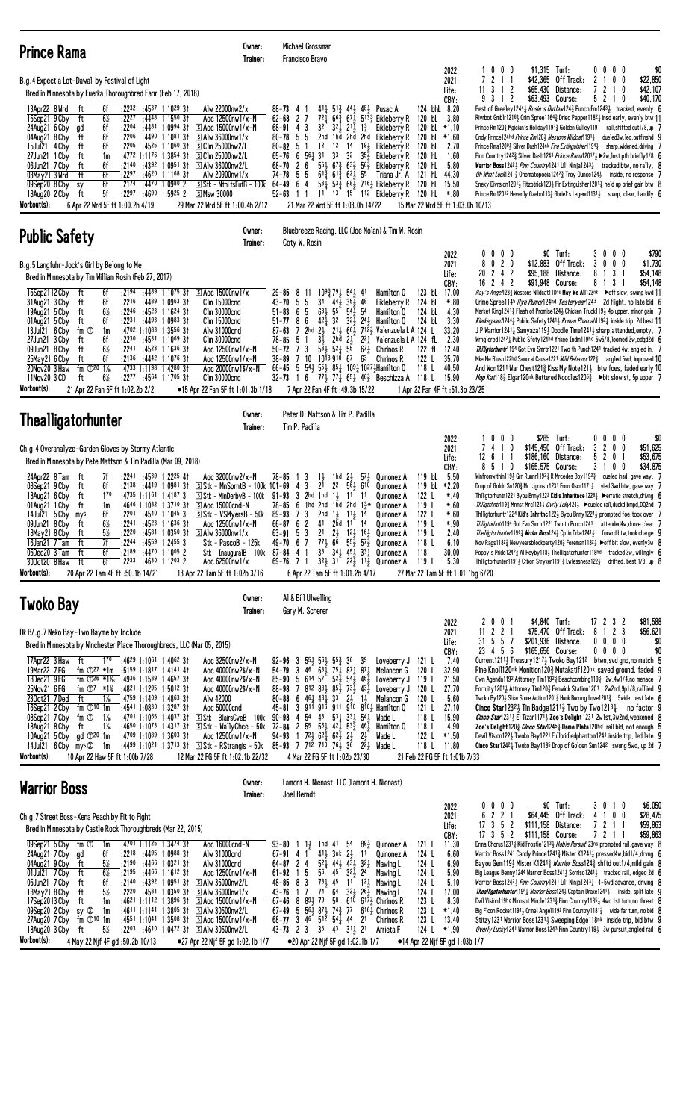| <b>Prince Rama</b>                                                                                                                                                                                                                                                                                                                                                                                                                                                                                                                                                                                                                                                                                  | Owner:<br>Trainer:                                                                                                                                                                                                                                                                                                                            | Michael Grossman<br>Francisco Bravo                                                                                                                                                                                                                                                                                                                                                                                                                                                                                                                                                                                                                                                                                                                |                                                                                                                                                                                                                                                                                                                                                                                                                                                                                                                             |                                                                                                                                                                                                                                                                                                                                                                                                                                                                                                                                                                                                                                                                                                                                                                                                                                                                                                                                                                                                                       |
|-----------------------------------------------------------------------------------------------------------------------------------------------------------------------------------------------------------------------------------------------------------------------------------------------------------------------------------------------------------------------------------------------------------------------------------------------------------------------------------------------------------------------------------------------------------------------------------------------------------------------------------------------------------------------------------------------------|-----------------------------------------------------------------------------------------------------------------------------------------------------------------------------------------------------------------------------------------------------------------------------------------------------------------------------------------------|----------------------------------------------------------------------------------------------------------------------------------------------------------------------------------------------------------------------------------------------------------------------------------------------------------------------------------------------------------------------------------------------------------------------------------------------------------------------------------------------------------------------------------------------------------------------------------------------------------------------------------------------------------------------------------------------------------------------------------------------------|-----------------------------------------------------------------------------------------------------------------------------------------------------------------------------------------------------------------------------------------------------------------------------------------------------------------------------------------------------------------------------------------------------------------------------------------------------------------------------------------------------------------------------|-----------------------------------------------------------------------------------------------------------------------------------------------------------------------------------------------------------------------------------------------------------------------------------------------------------------------------------------------------------------------------------------------------------------------------------------------------------------------------------------------------------------------------------------------------------------------------------------------------------------------------------------------------------------------------------------------------------------------------------------------------------------------------------------------------------------------------------------------------------------------------------------------------------------------------------------------------------------------------------------------------------------------|
| B.g.4 Expect a Lot-Dawali by Festival of Light<br>Bred in Minnesota by Euerka Thoroughbred Farm (Feb 17, 2018)<br>$:22^{32}$ $:45^{37}$ 1:10 <sup>29</sup> 31<br>13Apr22 8 Wrd<br>ft<br>6f<br>$6\%$<br>$:22^{27}$ $:44^{48}$ 1:1550 31<br>15Sep21 9 Cby<br>ft<br>:2204<br>:4481 1:0994 31                                                                                                                                                                                                                                                                                                                                                                                                           | Alw 22000nw2/x<br>Aoc 12500nw1/x-N                                                                                                                                                                                                                                                                                                            | 88-73<br>$4^{11}$ , $5^{13}$ , $4^{41}$ , $4^{81}$ , Pusac A<br>4<br>$62 - 68$ 2 7                                                                                                                                                                                                                                                                                                                                                                                                                                                                                                                                                                                                                                                                 | 2022:<br>2021:<br>Life:<br>CBY:<br>124 bhL 8.20<br>$72\frac{1}{4}$ 6 <sup>6</sup> $\frac{3}{4}$ 6 <sup>7</sup> $\frac{1}{2}$ 5 <sup>13</sup> $\frac{3}{4}$ Eikleberry R<br>120 bL 3.80                                                                                                                                                                                                                                                                                                                                      | $$1,315$ Turf:<br>\$0<br>1000<br>0000<br>7211<br>\$42,365 Off Track:<br>0 <sub>0</sub><br>2 <sub>1</sub><br>\$22,850<br>$11$ 3 1 2<br>\$65,430 Distance:<br>\$42,107<br>7<br>2<br>1<br>0<br>521<br>9312<br>\$63,493 Course:<br>0<br>\$40,170<br>Best of Greeley12441 Rosie's Outlaw1243 Punch Em12431 tracked, evenly 6<br>Rivrbot Gmblr12163 Crim Spree11643 Dried Pepper11821 insd early, evenly btw 1<br>Prince Rm1203 Mgician's Holiday11933 Golden Gulley1191 rail, shifted out1/8,up 7                                                                                                                                                                                                                                                                                                                                                                                                                                                                                                                          |
| 6f<br>24Aug21 6 Cby<br>gd<br>:2206 :4490 1:1081 31<br>6f<br>04Aug21 8 Cby<br>ft<br>ft<br>6f<br>$:22^{05}$ $:45^{25}$ 1:1060 31<br>15Jul21 4 Cby<br>1m<br>:4772 1:1176 1:3854 31<br>27Jun21 1 Cby<br>ft<br>6f<br>$:2140$ $:4392$ $1:0951$ 31<br>06Jun21 7 Cby<br>ft<br>ft<br>6f<br>:2297<br>:4620<br>$1:11^{68}31$<br>03May21 3 Wrd<br>09Sep20 8 Cby<br>6f<br>:2174<br>:4470<br>$1:0980$ 2<br>sy<br>5f<br>:2297:4690<br>$:5925$ 2<br>18Aug20 2 Cby<br>ft<br>Workout(s):<br>6 Apr 22 Wrd 5F ft 1:00.2h 4/19                                                                                                                                                                                           | $\boxed{S}$ Aoc 15000nw1/x-N<br>$\boxed{5}$ Alw 36000nw1/x<br>S Clm 25000nw2/L<br>S Clm 25000nw2/L<br>ි Alw 36000nw2/L<br>Alw 20900nw1/x<br>S Stk - NthLtsFutB - 100k<br><b>SMSW 30000</b><br>29 Mar 22 Wrd 5F ft 1:00.4h 2/12                                                                                                                | 3<br>32<br>$32\frac{1}{2}$<br>$2^{11}$ , $1^{3}$<br>$68 - 91$ 4<br>5<br>2hd 1hd 2hd 2hd<br>$80 - 78$ 5<br>12<br>$80 - 82$ 5 1<br>1 <sup>2</sup><br>14<br>$65 - 76$ 6 $56\frac{1}{4}$ 31<br>3 <sup>2</sup><br>3 <sup>3</sup><br>$55\frac{1}{2}$ $67\frac{3}{4}$ $63\frac{3}{4}$ $56\frac{3}{4}$<br>$68 - 70$ 2 6<br>$6^{1\frac{3}{4}}$ $6^{1\frac{3}{4}}$ $6^{2\frac{1}{3}}$ $5^{5}$<br>$74 - 78$ 5<br>5<br>$64 - 49 = 6$<br>$\frac{1}{2}$<br>1 <sup>3</sup><br>52-63<br>11<br>-1-1<br>21 Mar 22 Wrd 5F ft 1:03.0h 14/22                                                                                                                                                                                                                            | Eikleberry R<br>120 bL $*1.10$<br>Eikleberry R<br>120 bL $*1.60$<br>$19\frac{1}{2}$<br>2.70<br>Eikleberry R<br>120 bL<br>$35\frac{3}{7}$<br>120 hL<br>1.60<br>Eikleberry R<br>Eikleberry R<br>120 hL<br>5.80<br>Triana Jr. A<br>121 hL 44.30<br>$53\frac{1}{4}$ $53\frac{3}{4}$ $68\frac{1}{2}$ 716 Eikleberry R<br>120 hL 15.50<br>15 112 Eikleberry R<br>120 hL<br>*.80<br>15 Mar 22 Wrd 5F ft 1:03.0h 10/13                                                                                                              | Cndy Prince124hd Prince Rm1201 Westons Wildcat11911 dueled3w, led, outfinshd 9<br>Prince Rma12091 Silver Dash124nk Fire Extinguisher11941 sharp, widened, driving 7<br>Finn Country124 <sup>2</sup> § Silver Dash124 <sup>3</sup> <i>Prince Rama</i> 12017 3 ▶ 2w, lost pth briefly1/8 6<br><b>Warrior Boss</b> 12423 <i>Finn Country</i> 1241 Lil' Ninja 1243 $\frac{1}{4}$ tracked btw, no rally, 8<br><i>Oh What Luck</i> 1241 <sup>3</sup> Onomatopoeia1242 <sup>3</sup> Troy Ounce1243 inside, no response 7<br>Sneky Divrsion12014 Fitzptrick1204 Fir Extinguisher12014 held up brief gain btw 8<br>Prince Rm12012 Hevenly Gzebo113 $\frac{1}{2}$ Gbriel's Legend1131 $\frac{1}{2}$ sharp, clear, handily 6                                                                                                                                                                                                                                                                                                     |
| <b>Public Safety</b>                                                                                                                                                                                                                                                                                                                                                                                                                                                                                                                                                                                                                                                                                | Owner:<br>Trainer:                                                                                                                                                                                                                                                                                                                            | Bluebreeze Racing, LLC (Joe Nolan) & Tim W. Rosin<br>Coty W. Rosin                                                                                                                                                                                                                                                                                                                                                                                                                                                                                                                                                                                                                                                                                 |                                                                                                                                                                                                                                                                                                                                                                                                                                                                                                                             |                                                                                                                                                                                                                                                                                                                                                                                                                                                                                                                                                                                                                                                                                                                                                                                                                                                                                                                                                                                                                       |
| B.g.5 Langfuhr-Jock's Girl by Belong to Me<br>Bred in Minnesota by Tim William Rosin (Feb 27, 2017)                                                                                                                                                                                                                                                                                                                                                                                                                                                                                                                                                                                                 |                                                                                                                                                                                                                                                                                                                                               |                                                                                                                                                                                                                                                                                                                                                                                                                                                                                                                                                                                                                                                                                                                                                    | 2022:<br>2021:<br>Life:<br>CBY:                                                                                                                                                                                                                                                                                                                                                                                                                                                                                             | $$0$ Turf:<br>\$790<br>00<br>0 <sub>0</sub><br>3<br>0<br>$0\quad 0$<br>8020<br>Off Track:<br>0 <sub>0</sub><br>\$12,883<br>3<br>0<br>\$1,730<br>20 2 4 2<br>\$95,188 Distance:<br>3 1<br>8<br>\$54,148<br>\$91,948 Course:<br>3<br>\$54,148<br>$16$ 2 4 2<br>8                                                                                                                                                                                                                                                                                                                                                                                                                                                                                                                                                                                                                                                                                                                                                        |
| 16Sep2112 Cby<br>:2194<br>:4489 1:1075 31<br>ft<br>6f<br>6f<br>$:2216$ $:4489$ 1:0963 31<br>31Aug21 3 Cby<br>ft<br>$6\%$<br>$:22^{46}$ $:45^{23}$ 1:16 <sup>24</sup> 31<br>19Aug21 5 Cby<br>ft<br>6f<br>$:22^{31}$ $:44^{93}$ $1:09^{83}$ 31<br>01Aug21 5 Cby<br>ft<br>13Jul21 6 Cby<br>1m<br>$:4702$ 1:1083 1:3556 31<br>fm ①<br>6f<br>:2230<br>:45 <sup>31</sup> 1:10 <sup>69</sup> 3t<br>27Jun21 3 Cby<br>ft<br>$6\%$<br>$:22^{41}$ $:45^{23}$ 1:16 <sup>36</sup> 31<br>09Jun21 8 Cby<br>ft<br>6f<br>$:2136$ $:4442$ 1:1076 31<br>25May21 6 Cby<br>ft<br>$1\%$<br>fm $\mathbb{D}^{20}$<br>:4733 1:1198 1:4280 31<br>20Nov20 3 Haw<br>11Nov20 3 CD<br>6½<br>$:22^{77}$ $:45^{64}$ 1:1705 31<br>ft | $\boxed{S}$ Aoc 15000nw1/x<br>Clm 15000cnd<br>Clm 30000cnd<br>Clm 15000cnd<br>Alw 31000cnd<br>Clm 30000cnd<br>Aoc 12500nw1/x-N<br>Aoc 12500nw1/x-N<br>Aoc 20000nw1\$/x-N<br>Clm 30000cnd                                                                                                                                                      | $29 - 85 = 8$<br>$109\frac{3}{4}79\frac{1}{2}54\frac{1}{2}41$<br>-11<br>$44\overline{1}$<br>$35\frac{1}{2}$<br>-5<br>5<br>34<br>43-70<br>5<br>$63\frac{1}{2}$ 55<br>$5^{4}$ $\frac{1}{4}$<br>$51 - 83 = 6$<br>3 <sup>2</sup><br>$32\frac{1}{2}$ $24\frac{1}{2}$<br>$51 - 77$<br>8<br>6<br>$4^{2}$ <sup>1</sup><br>$87 - 63$ 7<br>$3\overline{1}$<br>$78 - 85$<br>- 5<br>2hd 21<br>$\overline{1}$<br>$5\overline{3}$ $\overline{3}$ $\overline{2}$ $\overline{4}$ $\overline{5}$ $\overline{5}$<br>$50 - 72$<br>73<br>38-89 7 10 1013 910 67 63<br>$54\frac{1}{2}$ $55\frac{1}{2}$ $85\frac{1}{4}$ $109\frac{1}{4}$ $1027\frac{1}{2}$ Hamilton Q<br>$66 - 45$ 5                                                                                     | 123 bL 17.00<br>Hamilton Q<br>48<br>124 bL<br>$*.80$<br>Eikleberry R<br>5 <sup>4</sup><br>4.30<br>Hamilton Q<br>124 bL<br>Hamilton Q<br>124 bL<br>3.30<br>2hd $2\frac{1}{2}$ $2^{1}\frac{1}{2}$ $6^{6}\frac{1}{2}$ $7^{12}\frac{3}{4}$ Valenzuela L A 124 L<br>33.20<br>Valenzuela L A 124 fL<br>$2^{2}$<br>2.30<br>$67\frac{1}{4}$<br>122 fL<br>12.40<br>Chirinos R<br>122 L<br>35.70<br>Chirinos R<br>118 L<br>40.50<br>32-73 1 6 $77\frac{1}{2}$ $77\frac{1}{4}$ $65\frac{1}{4}$ $46\frac{3}{4}$ Beschizza A 118 L 15.90 | Ray's Ange/1233 Westons Wildcat118ns May We All123nk Doff slow, swung 5wd 11<br>Crime Spree1145 Rye Humor124hd Yesteryear1243 2d flight, no late bid 6<br>Market King 12411 Flash of Promise 1241 Chicken Truck 1191 4p upper, minor gain<br>Kierkegaard12443 Public Safety12413 Roman Pharoah11923 inside trip, 2d best 11<br>JP Warrior12411 Samyaza1191 Doodle Time12411 sharp, attended, empty,<br>Wrnglered12421 Public Sfety124hd Ynkee Indin119hd 5w5/8, loomed 3w, edgd2d 6<br><b>Thiligtorhuntr</b> 194 Got Evn Smrtr 1221 Two th Punch 1241 tracked 4w, angled in, 7<br>Mke Me Blush122hd Samurai Cause1221 <i>Wild Behavior</i> 122 <sup>3</sup> angled 5wd, improved 10<br>And Won1211 War Chest121 $\frac{3}{4}$ Kiss My Note121 $\frac{1}{2}$ btw foes, faded early 10<br><i>Hop Kat</i> 18 <sub>2</sub> Elgar 120 <sup>nk</sup> Buttered Noodles 120 <sup>53</sup> <sub>4</sub> Pbit slow st, 5p upper 7                                                                                               |
| Workout(s):<br>21 Apr 22 Fan 5F ft 1:02.2b 2/2                                                                                                                                                                                                                                                                                                                                                                                                                                                                                                                                                                                                                                                      | •15 Apr 22 Fan 5F ft 1:01.3b 1/18<br>Owner:                                                                                                                                                                                                                                                                                                   | 7 Apr 22 Fan 4F ft : 49.3b 15/22<br>Peter D. Mattson & Tim P. Padilla                                                                                                                                                                                                                                                                                                                                                                                                                                                                                                                                                                                                                                                                              | 1 Apr 22 Fan 4F ft :51.3b 23/25                                                                                                                                                                                                                                                                                                                                                                                                                                                                                             |                                                                                                                                                                                                                                                                                                                                                                                                                                                                                                                                                                                                                                                                                                                                                                                                                                                                                                                                                                                                                       |
| <b>Thealligatorhunter</b>                                                                                                                                                                                                                                                                                                                                                                                                                                                                                                                                                                                                                                                                           | Trainer:                                                                                                                                                                                                                                                                                                                                      | Tim P. Padilla                                                                                                                                                                                                                                                                                                                                                                                                                                                                                                                                                                                                                                                                                                                                     | 2022:                                                                                                                                                                                                                                                                                                                                                                                                                                                                                                                       | \$285 Turf:<br>1000<br>0<br>$0\ 0\ 0$<br>\$0                                                                                                                                                                                                                                                                                                                                                                                                                                                                                                                                                                                                                                                                                                                                                                                                                                                                                                                                                                          |
| Ch.g.4 Overanalyze-Garden Gloves by Stormy Atlantic<br>Bred in Minnesota by Pete Mattson & Tim Padilla (Mar 09, 2018)                                                                                                                                                                                                                                                                                                                                                                                                                                                                                                                                                                               |                                                                                                                                                                                                                                                                                                                                               |                                                                                                                                                                                                                                                                                                                                                                                                                                                                                                                                                                                                                                                                                                                                                    | 2021:<br>Life:<br>CBY:                                                                                                                                                                                                                                                                                                                                                                                                                                                                                                      | \$145,450 Off Track:<br>3<br>$\overline{c}$<br>0<br>\$51,625<br>7410<br>0<br>$12 \t6 \t1 \t1$<br>\$186,160<br>Distance:<br>5<br>$\mathbf{2}$<br>0<br>\$53,675<br>-1<br>5 1 0<br>0<br>\$165,575 Course:<br>3<br>0<br>\$34,875<br>8<br>$\overline{1}$                                                                                                                                                                                                                                                                                                                                                                                                                                                                                                                                                                                                                                                                                                                                                                   |
| :2241 :4539 1:2225 41<br>24Apr22 8 Tam<br>ft<br>7f<br>6f<br>08Sep21 9 Cby<br>ft<br>$:2138$ $:4419$ $1:0981$ 31<br>$1^{70}$<br>18Aug21 6 Cby<br>ft<br>$:4735$ 1:1161 1:4187 3<br>$:4646$ 1:1082 1:3710 31<br>01Aug21 1 Cby<br>ft<br>1m<br>14Jul21 5 Cby mys<br>6f<br>$:22^{01}$ $:45^{40}$ 1:10 <sup>45</sup> 3<br>$6\frac{1}{2}$<br>09Jun21 8 Cby<br>$:22^{41}$ $:45^{23}$ 1:16 <sup>36</sup> 31<br>ft<br>5%<br><u>18May21 8 Cby</u><br>ft<br>ft<br>7f<br>$:22^{44}$ $:45^{59}$ 1:2455 3<br>16Jan21 7Tam<br>05Dec20 3 Tam<br>ft<br>6f<br>$:2189$ $:4470$ $1:1005$ 2<br>6f<br>$:22^{33}$ $:46^{30}$ 1:1203 2<br>300ct20 8 Haw<br>ft<br>Workout(s):<br>20 Apr 22 Tam 4F ft: 50.1b 14/21               | Aoc 32000nw2/x-N<br>$\boxed{5}$ Stk - MnSprntB - 100k 101-69<br>$\boxed{5}$ Stk - MinDerbyB - 100k<br>$\boxed{5}$ Aoc 15000 cnd - N<br>$\boxed{5}$ Stk - VSMyersB - 50k<br>Aoc 12500nw1/x-N<br>:2220 :4581 1:0350 31 SAlw 36000nw1/x<br>Stk - PascoB - 125k<br>Stk - InauguralB - 100k<br>Aoc 62500nw1/x<br>13 Apr 22 Tam 5F ft 1:02b 3/16    | 78-85<br>1 $hd$ 2 $\frac{1}{2}$<br>3<br>$1\frac{1}{2}$<br>$2^{1}$<br>$2^2$ $5^6$ <sub>2</sub> $6^{10}$<br>4 3<br>3<br>2hd 1hd 1 $\frac{1}{2}$ 11 11<br>91-93<br>1hd 2hd 1hd 2hd 1 $3*$<br>$78 - 85 = 6$<br>$89 - 93$ 7 3<br>2hd $1\frac{1}{2}$ 1 <sup>1</sup> , 1 <sup>4</sup><br>66-87 6 2<br>41 2hd 11 14<br>63-91 5 3 2 <sup>1</sup> 2 <sup>1</sup> $2\frac{1}{2}$ 1 <sup>2</sup> $\frac{1}{2}$ 1 <sup>6</sup> $\frac{1}{4}$ Quinonez A<br>49-70 6 7 77 $\frac{1}{2}$ 6 <sup>6</sup> 5 <sup>5</sup> $\frac{5}{4}$ 57 $\frac{3}{4}$<br>$87 - 84$ 4 1<br>69-76 7 1 32 $\frac{1}{2}$ 31 22 $\frac{1}{2}$ 11 $\frac{1}{2}$ Quinonez A<br>6 Apr 22 Tam 5F ft 1:01.2b 4/17                                                                            | 5.50<br>$57\frac{1}{4}$<br>119 bL<br>Quinonez A<br>119 bL<br>*2.20<br>Quinonez A<br>122 L<br>$*40$<br>Quinonez A<br>119 L<br>$*.60$<br>Quinonez A<br>122 L<br>$*.60$<br>Quinonez A<br>119 L<br>$*90$<br>Quinonez A<br>119 L<br>2.40<br>118 L<br>6.10<br>Quinonez A<br>$3^3$ $3^4\frac{1}{2}$ $4^5\frac{1}{2}$ $3^3\frac{1}{4}$ Quinonez A<br>30.00<br>118<br>5.30<br>119 L<br>27 Mar 22 Tam 5F ft 1:01.1bg 6/20                                                                                                             | Winfromwithin119 $\frac{1}{2}$ Grn Runnr1192 $\frac{1}{4}$ R Mrcedes Boy1192 $\frac{3}{4}$ dueled insd, gave way, 7<br>Drop of Goldn Sn120 $\frac{3}{4}$ Mr. Jgrmstr1231 Frmn Oscr1171 $\frac{1}{4}$ vied 3wd btw, gave way 7<br>Thiligtorhuntr1221 Byou Bnny1222 Kid's Inheritnce 12261 > erratic stretch, drivng 6<br>Thilgtrhntr119} Mnnst Mrc1124} Ovrly Lcky124} ▶ dueled rail, duckd, bmpd, DQ2nd 7<br>Thiligtorhuntr1224 Kid's Inhritnc122 $\frac{1}{2}$ Byou Bnny1224 $\frac{1}{2}$ prompted foe, took over 7<br>Thilgtorhntr1194 Got Evn Smrtr1221 Two th Punch1241 attended4w, drove clear 7<br>The ligtorhunter1196 <sub>4</sub> Wrrior Boss124 <sub>2</sub> Cptin Drke1241 <sub>2</sub> forwrd btw, took charge 9<br>Nov Rags118 <sup>23</sup> Newyearsblockparty120 <sup>3</sup> Foreman118 <sup>2</sup> 1 ▶off bit slow, evenly3w 8<br>Poppy's Pride12423 Al Heyby1181 The ligatorhunter118hd tracked 3w, willingly 6<br>Thiligtorhunter1191; Crbon Stryker1191; Lwiessness122; drifted, best 1/8, up 8 |
| Twoko Bay                                                                                                                                                                                                                                                                                                                                                                                                                                                                                                                                                                                                                                                                                           | Owner:<br>Trainer:                                                                                                                                                                                                                                                                                                                            | Al & Bill Ulwelling<br>Gary M. Scherer                                                                                                                                                                                                                                                                                                                                                                                                                                                                                                                                                                                                                                                                                                             |                                                                                                                                                                                                                                                                                                                                                                                                                                                                                                                             |                                                                                                                                                                                                                                                                                                                                                                                                                                                                                                                                                                                                                                                                                                                                                                                                                                                                                                                                                                                                                       |
| Dk B/.g.7 Neko Bay-Two Bayme by Include<br>Bred in Minnesota by Winchester Place Thoroughbreds, LLC (Mar 05, 2015)<br>$1^{70}$ :4629 1:1061 1:4062 31<br>17Apr22 3 Haw<br>ft                                                                                                                                                                                                                                                                                                                                                                                                                                                                                                                        | Aoc 32500nw2/x-N                                                                                                                                                                                                                                                                                                                              | $92 - 96$ 3 $55\frac{1}{2}$ $56\frac{1}{2}$ $55\frac{3}{4}$ 36                                                                                                                                                                                                                                                                                                                                                                                                                                                                                                                                                                                                                                                                                     | 2022:<br>2021:<br>Life:<br>CBY:<br>7.40<br>39<br>Loveberry J<br>121 L                                                                                                                                                                                                                                                                                                                                                                                                                                                       | 2 0 0 1<br>\$4,840 Turf:<br>$17$ 2 3 2<br>\$81,588<br>$11$ 2 2 1<br>\$75,470 Off Track:<br>8 1 2 3<br>\$56,621<br>31 5 5 7<br>\$201,936 Distance:<br>0 0 0 0<br>\$0<br>23 4 5 6<br>\$165,656 Course:<br>\$0<br>0000<br>Current1211} Treasury1217} Twoko Bay1212 btwn, svd gnd, no match 5                                                                                                                                                                                                                                                                                                                                                                                                                                                                                                                                                                                                                                                                                                                             |
| fm 127 *1m :5159 1:1817 1:4141 41<br>19Mar22 7 FG<br>18Dec21 9FG<br>fm ①26 $*1\frac{1}{6}$ :4936 1:1589 1:4657 31<br>25Nov21 6 FG<br>fm $\overline{O7}$ *1% :48 <sup>21</sup> 1:12 <sup>95</sup> 1:5012 31<br>230ct21 7Ded<br>ft<br>1‰<br>:4759 1:1409 1:4863 31<br>16Sep21 2 Cby<br>fm $\mathbb{D}^{10}$ 1m<br>$:4541$ 1:0830 1:3287 31<br>$:4701$ 1:1065 1:4037 31<br>08Sep21 7 Cby<br>fm $\overline{O}$ 1 <sup>1</sup> / <sub>6</sub><br>1‰<br>$:4650$ 1:1073 1:4317 31<br>18Aug21 8 Cby<br>ft<br>10Aug21 5 Cby<br>gd ① <sup>20</sup> 1m<br>:4709 1:1089 1:3603 31<br>14Jul21 6 Cby mys 20 1m<br>Workout(s):<br>10 Apr 22 Haw 5F ft 1:00b 7/28                                                   | Aoc 40000nw2\$/x-N<br>Aoc 40000nw2\$/x-N<br>Aoc 40000nw2\$/x-N<br>Alw 42000<br>Aoc 50000cnd<br>S Stk - BlairsCveB - 100k<br>$\boxed{5}$ Stk – WallyChce – 50k<br>Aoc 12500nw1/x-N<br>:4499 1:1021 1:3713 31 $S$ Stk - RStrangis - 50k<br>12 Mar 22 FG 5F ft 1:02.1b 22/32                                                                     | 54-79 3 4 <sup>6</sup> 63 <sup><math>\frac{1}{2}</math></sup> 75 <sup><math>\frac{1}{2}</math></sup> 8 <sup>7</sup> $\frac{1}{4}$ 8 <sup>7</sup> $\frac{1}{2}$ Melancon G<br>85-90 5 614 57 52 $\frac{1}{2}$ 54 $\frac{1}{2}$ 45 $\frac{1}{2}$ Loveberry J<br>88-98 7 812 881 851 731 431 Loveberry J<br>80-88 6 $46\frac{1}{4}$ $48\frac{1}{4}$ 33 $2\frac{1}{2}$ 13 Melancon G<br>$45-81$ 3 911 916 911 910 8101 Hamilton Q<br>90-98 4 54 43 531 331 541 Wade L<br>72-84 2 55 563 423 53 $\frac{3}{4}$ 463 Hamilton Q<br>$94-93$ 1 $72\frac{1}{2}$ $62\frac{1}{4}$ $62\frac{1}{2}$ $2\frac{1}{2}$ $2\frac{1}{2}$<br>85-93 7 7 <sup>12</sup> 7 <sup>10</sup> 7 <sup>6</sup> 3 <sup>6</sup> 2 <sup>2</sup> Hade L<br>4 Mar 22 FG 5F ft 1:02b 23/30 | 120 L<br>32.90<br>119 L<br>21.50<br>120 L<br>27.70<br>120 L<br>5.60<br>121 L<br>27.10<br>118 L<br>15.90<br>118 L<br>4.90<br>122 L *1.50<br>Wade L<br>118 L 11.80<br>21 Feb 22 FG 5F ft 1:01b 7/33                                                                                                                                                                                                                                                                                                                           | Pine Knoll120nk Monition1203 Mutakatif120nk saved ground, faded 9<br>Own Agenda1192 Attorney Tim11923 Beachcombing1193 2w, 4w1/4, no menace 7<br>Fortuity12013 Attorney Tim1203 Fenwick Station1201 2w2nd, 9p1/8, ralllied 9<br>Twoko By120 $\frac{1}{2}$ Shke Some Action1201 $\frac{3}{4}$ Hunk Burning Love1201 $\frac{3}{4}$ 5wide, best late 6<br><b>Cinco Star</b> 123 <sup>2</sup> J Tin Badge 121 <sup>1</sup> $\frac{3}{4}$ Two by Two 121 <sup>3</sup> $\frac{1}{4}$ no factor 9<br>Cinco Star12313 El Tizar11713 Zoe's Delight 1231 2w1st, 3w2nd, weakened 8<br>Zoe's Delight 120½ <i>Cinco Star</i> 1245½ Dame Plata 120hd rail bid, not enough 5<br>Devil Vision 1223 Twoko Bay 1221 Fullbridledphantom 1241 inside trip, led late 9<br>Cinco Star12421 Twoko Bay1185 Drop of Golden Sun1242 swung 5wd, up 2d 7                                                                                                                                                                                          |
| <b>Warrior Boss</b>                                                                                                                                                                                                                                                                                                                                                                                                                                                                                                                                                                                                                                                                                 | Owner:<br>Trainer:                                                                                                                                                                                                                                                                                                                            | Lamont H. Nienast, LLC (Lamont H. Nienast)<br>Joel Berndt                                                                                                                                                                                                                                                                                                                                                                                                                                                                                                                                                                                                                                                                                          |                                                                                                                                                                                                                                                                                                                                                                                                                                                                                                                             |                                                                                                                                                                                                                                                                                                                                                                                                                                                                                                                                                                                                                                                                                                                                                                                                                                                                                                                                                                                                                       |
| Ch.g.7 Street Boss-Xena Peach by Fit to Fight<br>Bred in Minnesota by Castle Rock Thoroughbreds (Mar 22, 2015)                                                                                                                                                                                                                                                                                                                                                                                                                                                                                                                                                                                      |                                                                                                                                                                                                                                                                                                                                               |                                                                                                                                                                                                                                                                                                                                                                                                                                                                                                                                                                                                                                                                                                                                                    | 2022:<br>2021:<br>Life:                                                                                                                                                                                                                                                                                                                                                                                                                                                                                                     | $$0$ Turf:<br>0000<br>3010<br>\$6,050<br>6221<br>\$64,445 Off Track:<br>\$28,475<br>4 1 0 0<br>$17 \t3 \t5 \t2$<br>\$111,158 Distance:<br>7 2 1 1<br>\$59,863                                                                                                                                                                                                                                                                                                                                                                                                                                                                                                                                                                                                                                                                                                                                                                                                                                                         |
| 09Sep21 5 Cby fm ①<br>:4701 1:1125 1:3474 31<br>1m<br>6f<br>$:22^{18}$ $:44^{95}$ 1:0988 31<br>24Aug21 7 Cby gd<br>04Aug21 9 Cby<br>5½<br>$:2190$ $:4466$ 1:0321 31<br>ft<br>$6\frac{1}{2}$<br>ft<br>$:2195$ $:4466$ 1:1612 31<br>01Jul21 7 Cby<br>06Jun21 7 Cby<br>6f<br>$:2140$ $:4392$ $1:0951$ 31<br>ft<br>18May21 8 Cby<br>$5\%$<br>ft<br>17Sep2013 Cby<br>ft<br>$:4621$ 1:1112 1:3896 31<br>1m<br>09Sep20 2 Cby<br>sy Ø<br>1m<br>fm $\mathbb{D}^{10}$ 1m<br>27Aug20 7 Cby<br>$5\%$<br>18Aug20 3 Cby<br>ft<br>Workout(s):<br>4 May 22 Nif 4F gd: 50.2b 10/13                                                                                                                                   | Aoc 16000cnd-N<br>Alw 31000cnd<br>Alw 31000cnd<br>Aoc 12500nw1/x-N<br>⑤ Alw 36000nw2/L<br>$:22^{20}$ $:45^{81}$ 1:0350 31 SAlw 36000nw1/x<br>$\boxed{5}$ Aoc 15000nw1/x-N<br>:4611 1:1141 1:3805 31 5 Alw 30500nw2/L<br>:4551 1:1041 1:3508 31 SAoc 15000nw1/x-N<br>:2203 :4610 1:0472 31 SAlw 30500nw2/L<br>●27 Apr 22 Nif 5F gd 1:02.1b 1/7 | $93 - 80 = 1$<br>$1\frac{1}{2}$<br>1hd 41 54<br>$67 - 91$ 4 1<br>41 <sub>2</sub> 3nk 2 <sub>2</sub> 11<br>$64 - 87$ 2 4<br>$5^2\frac{1}{4}$ $4^4\frac{1}{2}$ $4^3\frac{1}{2}$ $3^2\frac{1}{4}$<br>56 $4^5$ $3^2\frac{1}{2}$ $2^4$<br>5<br>$61 - 92$ 1<br>$48 - 85 8 3$<br>78 45 11 12 3 Mawing L<br>$1 \t7 \t74 \t64$<br>43-76<br>67-46 8 893 79 58 610 617 $\frac{3}{4}$ Chirinos R<br>67-49 5 563 873 743 77 6161 Chirinos R<br>$68-77$ 3 4 <sup>6</sup> 5 <sup>12</sup> 5 <sup>4</sup> 44 2 <sup>1</sup><br>43-73 2 3 35 43 31 21<br>•20 Apr 22 Nif 5F gd 1:02.1b 1/7                                                                                                                                                                           | CBY:<br>$89\frac{3}{4}$<br>121 L<br>11.30<br>Quinonez A<br>124 L<br>6.60<br>Quinonez A<br>Mawing L<br>124 L<br>6.90<br>124 L<br>5.90<br>Mawing L<br>124 L<br>5.10<br>$3^{21}$ , $2^{61}$ , Mawing L<br>17.00<br>124 L<br>123L<br>8.30<br>123 L $*1.40$<br>123 L<br>Chirinos R<br>13.40<br>124 L *1.90<br>Arrieta F<br>•14 Apr 22 Nif 5F gd 1:03b 1/7                                                                                                                                                                        | 7211<br>17 3 5 2<br>\$111,158 Course:<br>\$59,863<br>Drma Chorus12313 Kid Frostie12133 Noble Pursuit123ns prompted rail, gave way 8<br>Warrior Boss1241 Candy Prince12413 Mister K12411 pressed4w, bid1/4, drvng 6<br>Bayou Gem1193 Mister K12413 <i>Warrior Boss</i> 1243 shftd out1/4, mild gain 8<br>Big League Benny 1244 Warrior Boss 12413 Sorriso 12413 tracked rail, edged 2d 6<br>Warrior Boss12423 Finn Country1241 Lil' Ninja12431 4-5wd advance, driving 8<br><b>Thealligatorhunter</b> 1196 <sub>4</sub> Warrior Boss124 <sub>2</sub> Captain Drake1241 <sub>2</sub> inside, split late 9<br>Dvil Vision119hd Minnsot Mircle12313 Finn Country11851 4wd 1st turn, no threat 8<br>Big Flcon Rocket11911 Crmel Angel1192 Finn Country11813 wide far turn, no bid 8<br>Stitzy1231 Warrior Boss12311 Sweeping Edge118nk inside trip, bid btw 9<br>Overly Lucky1241 Warrior Boss1243 Finn Country1193 3w pursuit, angled rail 6                                                                               |